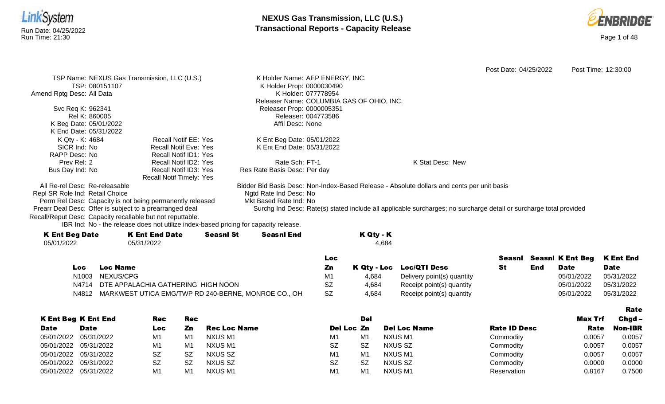



|                                                            |                                                                                      |                                           | Post Date: 04/25/2022                                                                                              | Post Time: 12:30:00 |
|------------------------------------------------------------|--------------------------------------------------------------------------------------|-------------------------------------------|--------------------------------------------------------------------------------------------------------------------|---------------------|
|                                                            | TSP Name: NEXUS Gas Transmission, LLC (U.S.)                                         | K Holder Name: AEP ENERGY, INC.           |                                                                                                                    |                     |
| TSP: 080151107                                             |                                                                                      | K Holder Prop: 0000030490                 |                                                                                                                    |                     |
| Amend Rptg Desc: All Data                                  |                                                                                      | K Holder: 077778954                       |                                                                                                                    |                     |
|                                                            |                                                                                      | Releaser Name: COLUMBIA GAS OF OHIO, INC. |                                                                                                                    |                     |
| Svc Req K: 962341                                          |                                                                                      | Releaser Prop: 0000005351                 |                                                                                                                    |                     |
| Rel K: 860005                                              |                                                                                      | Releaser: 004773586                       |                                                                                                                    |                     |
| K Beg Date: 05/01/2022                                     |                                                                                      | Affil Desc: None                          |                                                                                                                    |                     |
| K End Date: 05/31/2022                                     |                                                                                      |                                           |                                                                                                                    |                     |
| K Qty - K: 4684                                            | <b>Recall Notif EE: Yes</b>                                                          | K Ent Beg Date: 05/01/2022                |                                                                                                                    |                     |
| SICR Ind: No                                               | <b>Recall Notif Eve: Yes</b>                                                         | K Ent End Date: 05/31/2022                |                                                                                                                    |                     |
| RAPP Desc: No                                              | Recall Notif ID1: Yes                                                                |                                           |                                                                                                                    |                     |
| Prev Rel: 2                                                | Recall Notif ID2: Yes                                                                | Rate Sch: FT-1                            | K Stat Desc: New                                                                                                   |                     |
| Bus Day Ind: No                                            | Recall Notif ID3: Yes                                                                | Res Rate Basis Desc: Per day              |                                                                                                                    |                     |
|                                                            | <b>Recall Notif Timely: Yes</b>                                                      |                                           |                                                                                                                    |                     |
| All Re-rel Desc: Re-releasable                             |                                                                                      |                                           | Bidder Bid Basis Desc: Non-Index-Based Release - Absolute dollars and cents per unit basis                         |                     |
| Repl SR Role Ind: Retail Choice                            |                                                                                      | Ngtd Rate Ind Desc: No                    |                                                                                                                    |                     |
|                                                            | Perm Rel Desc: Capacity is not being permanently released                            | Mkt Based Rate Ind: No                    |                                                                                                                    |                     |
| Prearr Deal Desc: Offer is subject to a prearranged deal   |                                                                                      |                                           | Surchg Ind Desc: Rate(s) stated include all applicable surcharges; no surcharge detail or surcharge total provided |                     |
| Recall/Reput Desc: Capacity recallable but not reputtable. |                                                                                      |                                           |                                                                                                                    |                     |
|                                                            | IBR Ind: No - the release does not utilize index-based pricing for capacity release. |                                           |                                                                                                                    |                     |
| <b><i>V Eat Ban Bata</i></b>                               | <i>V Eat Ead Bata</i><br>Casarl Ca                                                   | - Caasel Est                              | <i><b>V At., V</b></i>                                                                                             |                     |

| <b>K Ent Beg Date</b> | K Ent End Date | <b>Seasnl St</b> | <b>Seasnl End</b> | K Qty - K |
|-----------------------|----------------|------------------|-------------------|-----------|
| 05/01/2022            | 05/31/2022     |                  |                   | 4.684     |
|                       |                |                  |                   |           |

|       |                                                     | Loc |       |                            |           |     | Seasni Seasni K Ent Beg K Ent End |             |
|-------|-----------------------------------------------------|-----|-------|----------------------------|-----------|-----|-----------------------------------|-------------|
| Loc   | <b>Loc Name</b>                                     | Zn  |       | K Qty - Loc Loc/QTI Desc   | <b>St</b> | End | <b>Date</b>                       | <b>Date</b> |
|       | N1003 NEXUS/CPG                                     |     | 4,684 | Delivery point(s) quantity |           |     | 05/01/2022                        | 05/31/2022  |
|       | N4714 DTE APPALACHIA GATHERING HIGH NOON            | SZ  | 4,684 | Receipt point(s) quantity  |           |     | 05/01/2022                        | 05/31/2022  |
| N4812 | MARKWEST UTICA EMG/TWP RD 240-BERNE, MONROE CO., OH | SZ  | 4.684 | Receipt point(s) quantity  |           |     | 05/01/2022                        | 05/31/2022  |

|             |                            |                |                |                     |                |     |                     |                     |                | Rate           |
|-------------|----------------------------|----------------|----------------|---------------------|----------------|-----|---------------------|---------------------|----------------|----------------|
|             | <b>K Ent Beg K Ent End</b> | <b>Rec</b>     | <b>Rec</b>     |                     |                | Del |                     |                     | <b>Max Trf</b> | $Chgd -$       |
| <b>Date</b> | <b>Date</b>                | Loc            | Zn             | <b>Rec Loc Name</b> | Del Loc Zn     |     | <b>Del Loc Name</b> | <b>Rate ID Desc</b> | Rate           | <b>Non-IBR</b> |
| 05/01/2022  | 05/31/2022                 | M1             | M <sub>1</sub> | NXUS M1             | M1             | M1  | NXUS M1             | Commodity           | 0.0057         | 0.0057         |
|             | 05/01/2022 05/31/2022      | M <sub>1</sub> | M1             | NXUS M1             | <b>SZ</b>      | SZ  | NXUS SZ             | Commodity           | 0.0057         | 0.0057         |
|             | 05/01/2022 05/31/2022      | <b>SZ</b>      | <b>SZ</b>      | NXUS SZ             | M <sub>1</sub> | M1  | NXUS M1             | Commodity           | 0.0057         | 0.0057         |
|             | 05/01/2022 05/31/2022      | <b>SZ</b>      | <b>SZ</b>      | NXUS SZ             | <b>SZ</b>      | SZ  | NXUS SZ             | Commodity           | 0.0000         | 0.0000         |
| 05/01/2022  | 05/31/2022                 | M1             | M1             | NXUS M1             | M1             | M1  | NXUS M1             | Reservation         | 0.8167         | 0.7500         |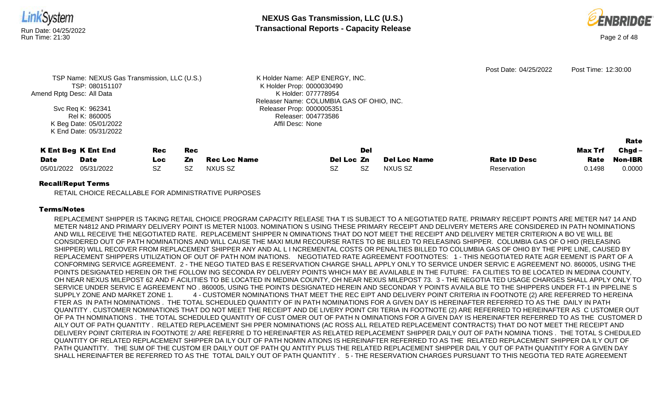

| <b>K Ent Beg K Ent End</b><br>Rec |             |      | Rec | <b>Del</b>   |            |  |                     |                     |        | Chgd -  |
|-----------------------------------|-------------|------|-----|--------------|------------|--|---------------------|---------------------|--------|---------|
| <b>Date</b>                       | <b>Date</b> | Loc. | Zn  | Rec Loc Name | Del Loc Zn |  | <b>Del Loc Name</b> | <b>Rate ID Desc</b> | Rate   | Non-IBR |
| 05/01/2022 05/31/2022             |             |      |     | NXUS SZ      |            |  | NXUS SZ             | Reservation         | 0.1498 | 0.0000  |

RETAIL CHOICE RECALLABLE FOR ADMINISTRATIVE PURPOSES

# Terms/Notes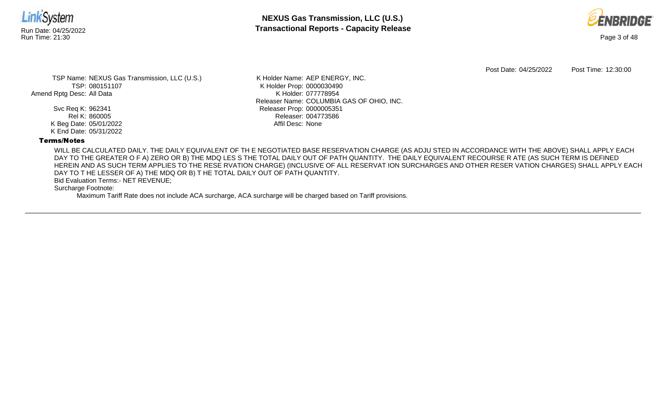



Post Date: 04/25/2022 Post Time: 12:30:00

TSP Name: NEXUS Gas Transmission, LLC (U.S.) TSP: 080151107 Amend Rptg Desc: All Data

> Svc Req K: 962341 Rel K: 860005 K Beg Date: 05/01/2022 K End Date: 05/31/2022

K Holder Name: AEP ENERGY, INC. K Holder Prop: 0000030490 K Holder: 077778954 Releaser Name: COLUMBIA GAS OF OHIO, INC. Releaser Prop: 0000005351 Releaser: 004773586 Affil Desc: None

# Terms/Notes

WILL BE CALCULATED DAILY. THE DAILY EQUIVALENT OF TH E NEGOTIATED BASE RESERVATION CHARGE (AS ADJU STED IN ACCORDANCE WITH THE ABOVE) SHALL APPLY EACH DAY TO THE GREATER O F A) ZERO OR B) THE MDQ LES S THE TOTAL DAILY OUT OF PATH QUANTITY. THE DAILY EQUIVALENT RECOURSE R ATE (AS SUCH TERM IS DEFINED HEREIN AND AS SUCH TERM APPLIES TO THE RESE RVATION CHARGE) (INCLUSIVE OF ALL RESERVAT ION SURCHARGES AND OTHER RESER VATION CHARGES) SHALL APPLY EACH DAY TO T HE LESSER OF A) THE MDQ OR B) T HE TOTAL DAILY OUT OF PATH QUANTITY.

Bid Evaluation Terms:- NET REVENUE;

Surcharge Footnote: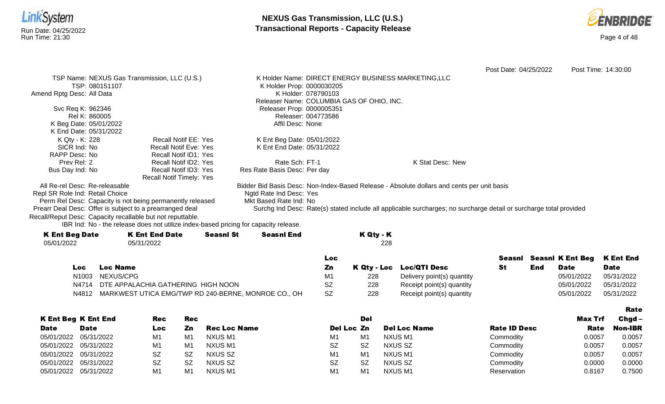



Rate

Post Date: 04/25/2022 Post Time: 14:30:00 TSP Name: NEXUS Gas Transmission, LLC (U.S.) TSP: 080151107 Amend Rptg Desc: All Data Svc Req K: 962346 Rel K: 860005 K Beg Date: 05/01/2022 K End Date: 05/31/2022 K Holder Name: DIRECT ENERGY BUSINESS MARKETING,LLC K Holder Prop: 0000030205 K Holder: 078790103 Releaser Name: COLUMBIA GAS OF OHIO, INC. Releaser Prop: 0000005351 Releaser: 004773586 Affil Desc: None K Qty - K: 228 SICR Ind: No RAPP Desc: No Prev Rel: 2 Bus Day Ind: No Recall Notif EE: Yes Recall Notif Eve: Yes Recall Notif ID1: Yes Recall Notif ID2: Yes Recall Notif ID3: Yes Recall Notif Timely: Yes K Ent Beg Date: 05/01/2022 K Ent End Date: 05/31/2022 Rate Sch: FT-1 Res Rate Basis Desc: Per day K Stat Desc: New All Re-rel Desc: Re-releasable Repl SR Role Ind: Retail Choice Perm Rel Desc: Capacity is not being permanently released Prearr Deal Desc: Offer is subject to a prearranged deal Bidder Bid Basis Desc: Non-Index-Based Release - Absolute dollars and cents per unit basis Ngtd Rate Ind Desc: Yes Mkt Based Rate Ind: No Surchg Ind Desc: Rate(s) stated include all applicable surcharges; no surcharge detail or surcharge total provided

Recall/Reput Desc: Capacity recallable but not reputtable.

IBR Ind: No - the release does not utilize index-based pricing for capacity release.

| <b>K Ent Beg Date</b> | <b>K Ent End Date</b> | <b>Seasnl St</b> | Seasnl End | K Qty - K |
|-----------------------|-----------------------|------------------|------------|-----------|
| 05/01/2022            | 05/31/2022            |                  |            | 228       |
|                       |                       |                  |            |           |

|       |                                                     | Loc |     |                            | Seasnl |     | <b>Seasni K Ent Beg K Ent End</b> |            |
|-------|-----------------------------------------------------|-----|-----|----------------------------|--------|-----|-----------------------------------|------------|
| Loc   | Loc Name                                            |     |     | K Qty - Loc Loc/QTI Desc   |        | End | <b>Date</b>                       | Date       |
|       | N1003 NEXUS/CPG                                     |     | 228 | Delivery point(s) quantity |        |     | 05/01/2022                        | 05/31/2022 |
|       | N4714 DTE APPALACHIA GATHERING HIGH NOON            |     | 228 | Receipt point(s) quantity  |        |     | 05/01/2022                        | 05/31/2022 |
| N4812 | MARKWEST UTICA EMG/TWP RD 240-BERNE, MONROE CO., OH | SZ  | 228 | Receipt point(s) quantity  |        |     | 05/01/2022                        | 05/31/2022 |

|             |                            |            |           |                     |                |           |                     |                     |         | -----   |
|-------------|----------------------------|------------|-----------|---------------------|----------------|-----------|---------------------|---------------------|---------|---------|
|             | <b>K Ent Beg K Ent End</b> | <b>Rec</b> | Rec       |                     |                | Del       |                     |                     | Max Trf | Chgd -  |
| <b>Date</b> | <b>Date</b>                | Loc        | Zn        | <b>Rec Loc Name</b> | Del Loc Zn     |           | <b>Del Loc Name</b> | <b>Rate ID Desc</b> | Rate    | Non-IBR |
| 05/01/2022  | 05/31/2022                 | M1         | M1        | NXUS M1             | M1             | M1        | NXUS M1             | Commodity           | 0.0057  | 0.0057  |
|             | 05/01/2022 05/31/2022      | M1         | M1        | NXUS M1             | <b>SZ</b>      | SZ        | NXUS SZ             | Commodity           | 0.0057  | 0.0057  |
| 05/01/2022  | 05/31/2022                 | <b>SZ</b>  | <b>SZ</b> | NXUS SZ             | M <sub>1</sub> | M1        | NXUS M1             | Commodity           | 0.0057  | 0.0057  |
| 05/01/2022  | 05/31/2022                 | <b>SZ</b>  | SZ        | NXUS SZ             | <b>SZ</b>      | <b>SZ</b> | NXUS SZ             | Commodity           | 0.0000  | 0.0000  |
| 05/01/2022  | 05/31/2022                 | M1         | M1        | NXUS M1             | M1             | M1        | NXUS M1             | Reservation         | 0.8167  | 0.7500  |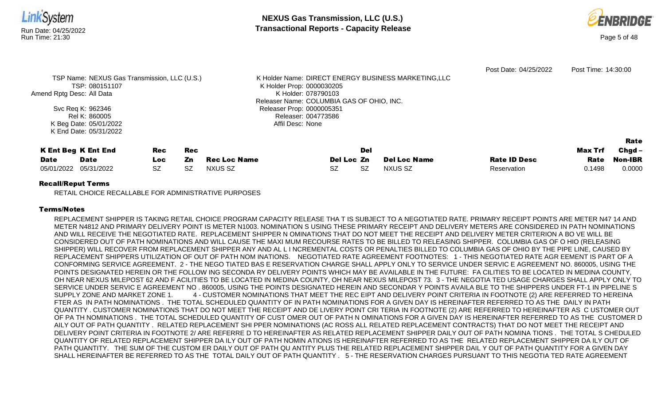

RETAIL CHOICE RECALLABLE FOR ADMINISTRATIVE PURPOSES

# Terms/Notes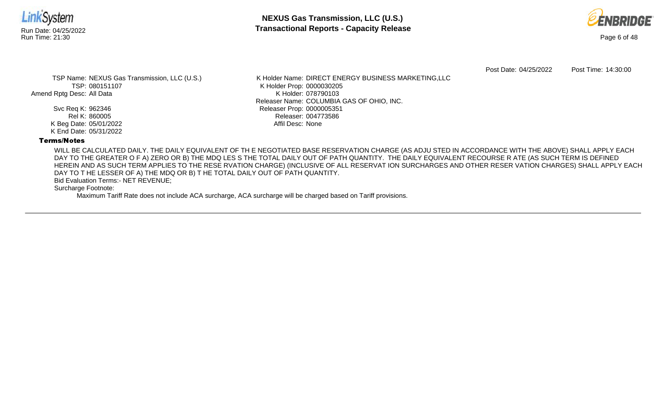



Post Date: 04/25/2022 Post Time: 14:30:00

TSP Name: NEXUS Gas Transmission, LLC (U.S.) TSP: 080151107 Amend Rptg Desc: All Data

> Svc Req K: 962346 Rel K: 860005 K Beg Date: 05/01/2022 K End Date: 05/31/2022

K Holder Name: DIRECT ENERGY BUSINESS MARKETING,LLC K Holder Prop: 0000030205 K Holder: 078790103 Releaser Name: COLUMBIA GAS OF OHIO, INC. Releaser Prop: 0000005351 Releaser: 004773586 Affil Desc: None

# Terms/Notes

WILL BE CALCULATED DAILY. THE DAILY EQUIVALENT OF TH E NEGOTIATED BASE RESERVATION CHARGE (AS ADJU STED IN ACCORDANCE WITH THE ABOVE) SHALL APPLY EACH DAY TO THE GREATER O F A) ZERO OR B) THE MDQ LES S THE TOTAL DAILY OUT OF PATH QUANTITY. THE DAILY EQUIVALENT RECOURSE R ATE (AS SUCH TERM IS DEFINED HEREIN AND AS SUCH TERM APPLIES TO THE RESE RVATION CHARGE) (INCLUSIVE OF ALL RESERVAT ION SURCHARGES AND OTHER RESER VATION CHARGES) SHALL APPLY EACH DAY TO T HE LESSER OF A) THE MDQ OR B) T HE TOTAL DAILY OUT OF PATH QUANTITY.

Bid Evaluation Terms:- NET REVENUE;

Surcharge Footnote: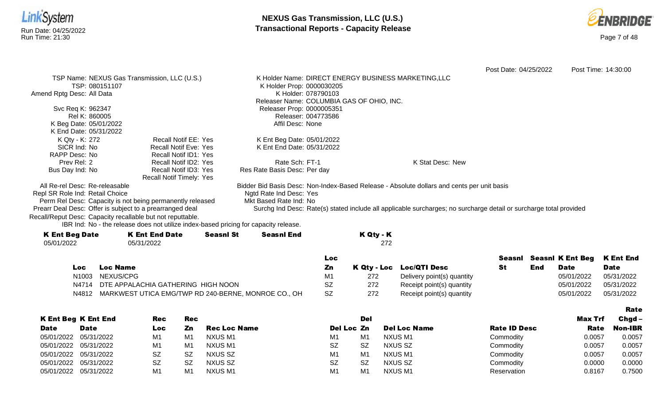



Rate

Post Date: 04/25/2022 Post Time: 14:30:00 TSP Name: NEXUS Gas Transmission, LLC (U.S.) TSP: 080151107 Amend Rptg Desc: All Data Svc Req K: 962347 Rel K: 860005 K Beg Date: 05/01/2022 K End Date: 05/31/2022 K Holder Name: DIRECT ENERGY BUSINESS MARKETING,LLC K Holder Prop: 0000030205 K Holder: 078790103 Releaser Name: COLUMBIA GAS OF OHIO, INC. Releaser Prop: 0000005351 Releaser: 004773586 Affil Desc: None K Qty - K: 272 SICR Ind: No RAPP Desc: No Prev Rel: 2 Bus Day Ind: No Recall Notif EE: Yes Recall Notif Eve: Yes Recall Notif ID1: Yes Recall Notif ID2: Yes Recall Notif ID3: Yes Recall Notif Timely: Yes K Ent Beg Date: 05/01/2022 K Ent End Date: 05/31/2022 Rate Sch: FT-1 Res Rate Basis Desc: Per day K Stat Desc: New All Re-rel Desc: Re-releasable Repl SR Role Ind: Retail Choice Perm Rel Desc: Capacity is not being permanently released Prearr Deal Desc: Offer is subject to a prearranged deal Bidder Bid Basis Desc: Non-Index-Based Release - Absolute dollars and cents per unit basis Ngtd Rate Ind Desc: Yes Mkt Based Rate Ind: No Surchg Ind Desc: Rate(s) stated include all applicable surcharges; no surcharge detail or surcharge total provided

Recall/Reput Desc: Capacity recallable but not reputtable.

IBR Ind: No - the release does not utilize index-based pricing for capacity release.

| <b>K Ent Beg Date</b> | <b>K Ent End Date</b> | <b>Seasnl St</b> | Seasnl End | K Qty - K |
|-----------------------|-----------------------|------------------|------------|-----------|
| 05/01/2022            | 05/31/2022            |                  |            |           |
|                       |                       |                  |            |           |

|       |                                                     | Loc       |     |                            | Seasnl |     | <b>Seasni K Ent Beg K Ent End</b> |             |
|-------|-----------------------------------------------------|-----------|-----|----------------------------|--------|-----|-----------------------------------|-------------|
| Loc   | <b>Loc Name</b>                                     | Zn        |     | K Qty - Loc Loc/QTI Desc   |        | End | Date                              | <b>Date</b> |
| N1003 | NEXUS/CPG                                           | M1        | 272 | Delivery point(s) quantity |        |     | 05/01/2022                        | 05/31/2022  |
|       | N4714 DTE APPALACHIA GATHERING HIGH NOON            | SZ        | 272 | Receipt point(s) quantity  |        |     | 05/01/2022                        | 05/31/2022  |
| N4812 | MARKWEST UTICA EMG/TWP RD 240-BERNE, MONROE CO., OH | <b>SZ</b> | 272 | Receipt point(s) quantity  |        |     | 05/01/2022                        | 05/31/2022  |

|             |                            |           |           |                     |                |            |                     |                     |         | -----          |
|-------------|----------------------------|-----------|-----------|---------------------|----------------|------------|---------------------|---------------------|---------|----------------|
|             | <b>K Ent Beg K Ent End</b> | Rec       | Rec       |                     |                | <b>Del</b> |                     |                     | Max Trf | $Chgd -$       |
| <b>Date</b> | <b>Date</b>                | Loc       | Zn        | <b>Rec Loc Name</b> | Del Loc Zn     |            | <b>Del Loc Name</b> | <b>Rate ID Desc</b> | Rate    | <b>Non-IBR</b> |
| 05/01/2022  | 05/31/2022                 | M1        | M1        | NXUS M1             | M1             | M1         | <b>NXUS M1</b>      | Commodity           | 0.0057  | 0.0057         |
| 05/01/2022  | 05/31/2022                 | M1        | M1        | NXUS M1             | <b>SZ</b>      | <b>SZ</b>  | NXUS SZ             | Commodity           | 0.0057  | 0.0057         |
| 05/01/2022  | 05/31/2022                 | SZ        | <b>SZ</b> | <b>NXUS SZ</b>      | M <sub>1</sub> | M1         | <b>NXUS M1</b>      | Commodity           | 0.0057  | 0.0057         |
| 05/01/2022  | 05/31/2022                 | <b>SZ</b> | -SZ       | NXUS SZ             | <b>SZ</b>      | <b>SZ</b>  | NXUS SZ             | Commodity           | 0.0000  | 0.0000         |
| 05/01/2022  | 05/31/2022                 | M1        | M1        | NXUS M1             | M1             | M1         | <b>NXUS M1</b>      | Reservation         | 0.8167  | 0.7500         |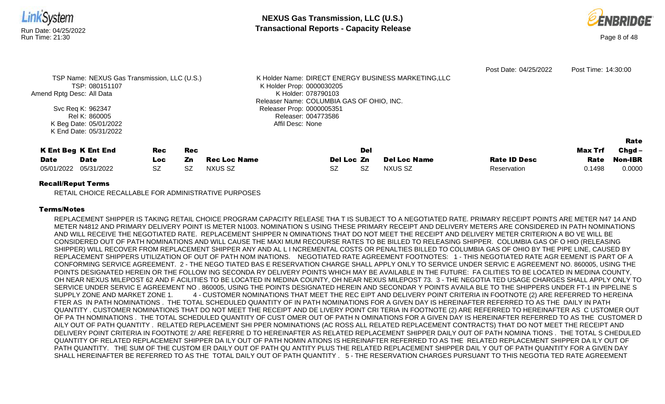

RETAIL CHOICE RECALLABLE FOR ADMINISTRATIVE PURPOSES

# Terms/Notes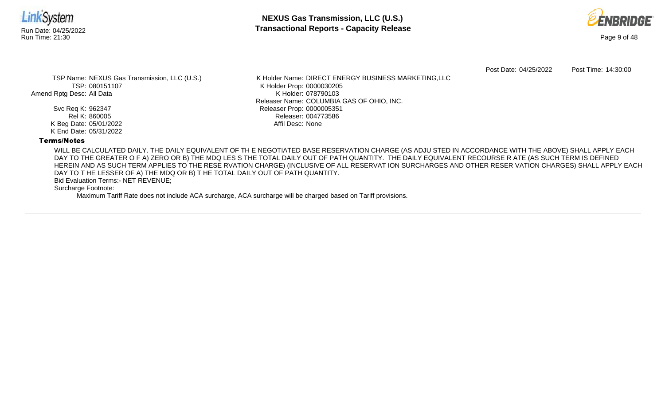



Post Date: 04/25/2022 Post Time: 14:30:00

TSP Name: NEXUS Gas Transmission, LLC (U.S.) TSP: 080151107 Amend Rptg Desc: All Data

> Svc Req K: 962347 Rel K: 860005 K Beg Date: 05/01/2022 K End Date: 05/31/2022

K Holder Name: DIRECT ENERGY BUSINESS MARKETING,LLC K Holder Prop: 0000030205 K Holder: 078790103 Releaser Name: COLUMBIA GAS OF OHIO, INC. Releaser Prop: 0000005351 Releaser: 004773586 Affil Desc: None

# Terms/Notes

WILL BE CALCULATED DAILY. THE DAILY EQUIVALENT OF TH E NEGOTIATED BASE RESERVATION CHARGE (AS ADJU STED IN ACCORDANCE WITH THE ABOVE) SHALL APPLY EACH DAY TO THE GREATER O F A) ZERO OR B) THE MDQ LES S THE TOTAL DAILY OUT OF PATH QUANTITY. THE DAILY EQUIVALENT RECOURSE R ATE (AS SUCH TERM IS DEFINED HEREIN AND AS SUCH TERM APPLIES TO THE RESE RVATION CHARGE) (INCLUSIVE OF ALL RESERVAT ION SURCHARGES AND OTHER RESER VATION CHARGES) SHALL APPLY EACH DAY TO T HE LESSER OF A) THE MDQ OR B) T HE TOTAL DAILY OUT OF PATH QUANTITY.

Bid Evaluation Terms:- NET REVENUE;

Surcharge Footnote: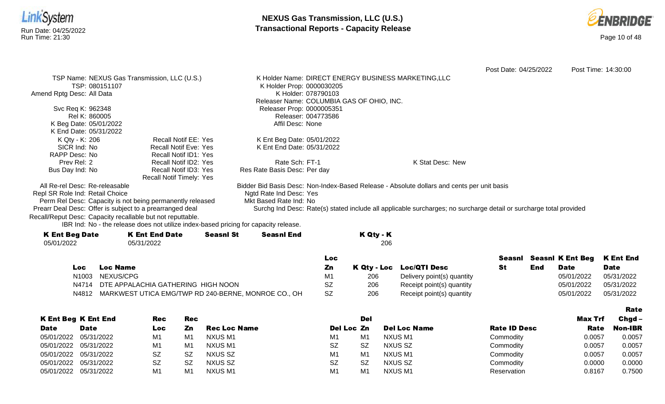



|                                                                                      |                                                                                                                    |           |                            | Post Date: 04/25/2022 |     |                                | Post Time: 14:30:00 |
|--------------------------------------------------------------------------------------|--------------------------------------------------------------------------------------------------------------------|-----------|----------------------------|-----------------------|-----|--------------------------------|---------------------|
| TSP Name: NEXUS Gas Transmission, LLC (U.S.)                                         | K Holder Name: DIRECT ENERGY BUSINESS MARKETING, LLC                                                               |           |                            |                       |     |                                |                     |
| TSP: 080151107                                                                       | K Holder Prop: 0000030205                                                                                          |           |                            |                       |     |                                |                     |
| Amend Rptg Desc: All Data                                                            | K Holder: 078790103                                                                                                |           |                            |                       |     |                                |                     |
|                                                                                      | Releaser Name: COLUMBIA GAS OF OHIO, INC.                                                                          |           |                            |                       |     |                                |                     |
| Svc Req K: 962348                                                                    | Releaser Prop: 0000005351                                                                                          |           |                            |                       |     |                                |                     |
| Rel K: 860005                                                                        | Releaser: 004773586                                                                                                |           |                            |                       |     |                                |                     |
| K Beg Date: 05/01/2022                                                               | Affil Desc: None                                                                                                   |           |                            |                       |     |                                |                     |
| K End Date: 05/31/2022                                                               |                                                                                                                    |           |                            |                       |     |                                |                     |
| K Qty - K: 206<br><b>Recall Notif EE: Yes</b>                                        | K Ent Beg Date: 05/01/2022                                                                                         |           |                            |                       |     |                                |                     |
| SICR Ind: No<br><b>Recall Notif Eve: Yes</b>                                         | K Ent End Date: 05/31/2022                                                                                         |           |                            |                       |     |                                |                     |
| RAPP Desc: No<br>Recall Notif ID1: Yes                                               |                                                                                                                    |           |                            |                       |     |                                |                     |
| Prev Rel: 2<br>Recall Notif ID2: Yes                                                 | Rate Sch: FT-1                                                                                                     |           | K Stat Desc: New           |                       |     |                                |                     |
| Bus Day Ind: No<br>Recall Notif ID3: Yes                                             | Res Rate Basis Desc: Per day                                                                                       |           |                            |                       |     |                                |                     |
| Recall Notif Timely: Yes                                                             |                                                                                                                    |           |                            |                       |     |                                |                     |
| All Re-rel Desc: Re-releasable                                                       | Bidder Bid Basis Desc: Non-Index-Based Release - Absolute dollars and cents per unit basis                         |           |                            |                       |     |                                |                     |
| Repl SR Role Ind: Retail Choice                                                      | Ngtd Rate Ind Desc: Yes                                                                                            |           |                            |                       |     |                                |                     |
| Perm Rel Desc: Capacity is not being permanently released                            | Mkt Based Rate Ind: No                                                                                             |           |                            |                       |     |                                |                     |
| Prearr Deal Desc: Offer is subject to a prearranged deal                             | Surchg Ind Desc: Rate(s) stated include all applicable surcharges; no surcharge detail or surcharge total provided |           |                            |                       |     |                                |                     |
| Recall/Reput Desc: Capacity recallable but not reputtable.                           |                                                                                                                    |           |                            |                       |     |                                |                     |
| IBR Ind: No - the release does not utilize index-based pricing for capacity release. |                                                                                                                    |           |                            |                       |     |                                |                     |
| <b>K Ent End Date</b><br><b>K Ent Beg Date</b><br><b>Seasnl St</b>                   | <b>Seasnl End</b>                                                                                                  | K Qty - K |                            |                       |     |                                |                     |
| 05/31/2022<br>05/01/2022                                                             |                                                                                                                    | 206       |                            |                       |     |                                |                     |
|                                                                                      | Loc                                                                                                                |           |                            |                       |     | <b>Seasni</b> Seasni K Ent Beg | <b>K Ent End</b>    |
| <b>Loc Name</b><br><b>Loc</b>                                                        | Zn                                                                                                                 |           | K Qty - Loc Loc/QTI Desc   | <b>St</b>             | End | <b>Date</b>                    | <b>Date</b>         |
| NEXUS/CPG<br>N <sub>1003</sub>                                                       | M1                                                                                                                 | 206       | Delivery point(s) quantity |                       |     | 05/01/2022                     | 05/31/2022          |
| DTE APPALACHIA GATHERING HIGH NOON<br>N4714                                          | <b>SZ</b>                                                                                                          | 206       | Receipt point(s) quantity  |                       |     | 05/01/2022                     | 05/31/2022          |

N4812 MARKWEST UTICA EMG/TWP RD 240-BERNE, MONROE CO., OH SZ 206 Receipt point(s) quantity 05/01/2022 05/31/2022 05/31/2022

|             |                            |                |                |                     |                |     |                     |                     |                | Rate           |
|-------------|----------------------------|----------------|----------------|---------------------|----------------|-----|---------------------|---------------------|----------------|----------------|
|             | <b>K Ent Beg K Ent End</b> | <b>Rec</b>     | <b>Rec</b>     |                     |                | Del |                     |                     | <b>Max Trf</b> | $Chgd -$       |
| <b>Date</b> | <b>Date</b>                | Loc            | Zn             | <b>Rec Loc Name</b> | Del Loc Zn     |     | <b>Del Loc Name</b> | <b>Rate ID Desc</b> | Rate           | <b>Non-IBR</b> |
| 05/01/2022  | 05/31/2022                 | M1             | M <sub>1</sub> | NXUS M1             | M1             | M1  | NXUS M1             | Commodity           | 0.0057         | 0.0057         |
|             | 05/01/2022 05/31/2022      | M <sub>1</sub> | M1             | NXUS M1             | <b>SZ</b>      | SZ  | NXUS SZ             | Commodity           | 0.0057         | 0.0057         |
|             | 05/01/2022 05/31/2022      | <b>SZ</b>      | <b>SZ</b>      | NXUS SZ             | M <sub>1</sub> | M1  | NXUS M1             | Commodity           | 0.0057         | 0.0057         |
|             | 05/01/2022 05/31/2022      | <b>SZ</b>      | <b>SZ</b>      | NXUS SZ             | <b>SZ</b>      | SZ  | NXUS SZ             | Commodity           | 0.0000         | 0.0000         |
| 05/01/2022  | 05/31/2022                 | M1             | M1             | NXUS M1             | M1             | M1  | NXUS M1             | Reservation         | 0.8167         | 0.7500         |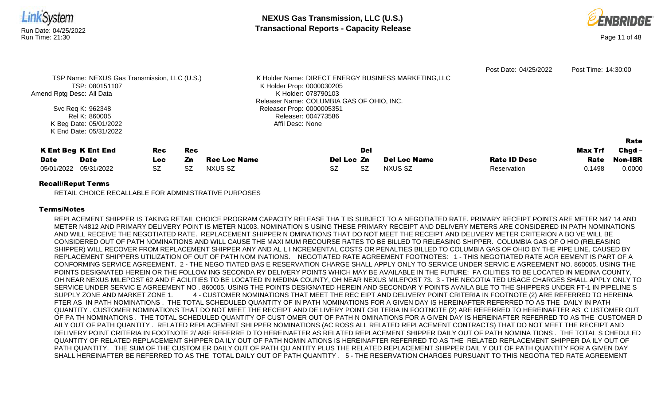

RETAIL CHOICE RECALLABLE FOR ADMINISTRATIVE PURPOSES

# Terms/Notes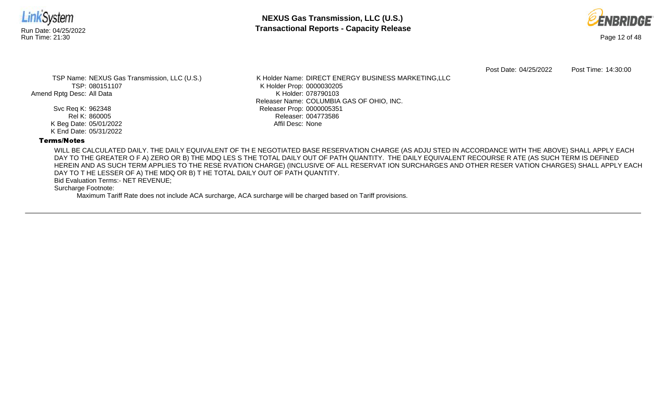



Post Date: 04/25/2022 Post Time: 14:30:00

TSP Name: NEXUS Gas Transmission, LLC (U.S.) TSP: 080151107 Amend Rptg Desc: All Data

> Svc Req K: 962348 Rel K: 860005 K Beg Date: 05/01/2022 K End Date: 05/31/2022

K Holder Name: DIRECT ENERGY BUSINESS MARKETING,LLC K Holder Prop: 0000030205 K Holder: 078790103 Releaser Name: COLUMBIA GAS OF OHIO, INC. Releaser Prop: 0000005351 Releaser: 004773586 Affil Desc: None

# Terms/Notes

WILL BE CALCULATED DAILY. THE DAILY EQUIVALENT OF TH E NEGOTIATED BASE RESERVATION CHARGE (AS ADJU STED IN ACCORDANCE WITH THE ABOVE) SHALL APPLY EACH DAY TO THE GREATER O F A) ZERO OR B) THE MDQ LES S THE TOTAL DAILY OUT OF PATH QUANTITY. THE DAILY EQUIVALENT RECOURSE R ATE (AS SUCH TERM IS DEFINED HEREIN AND AS SUCH TERM APPLIES TO THE RESE RVATION CHARGE) (INCLUSIVE OF ALL RESERVAT ION SURCHARGES AND OTHER RESER VATION CHARGES) SHALL APPLY EACH DAY TO T HE LESSER OF A) THE MDQ OR B) T HE TOTAL DAILY OUT OF PATH QUANTITY.

Bid Evaluation Terms:- NET REVENUE;

Surcharge Footnote: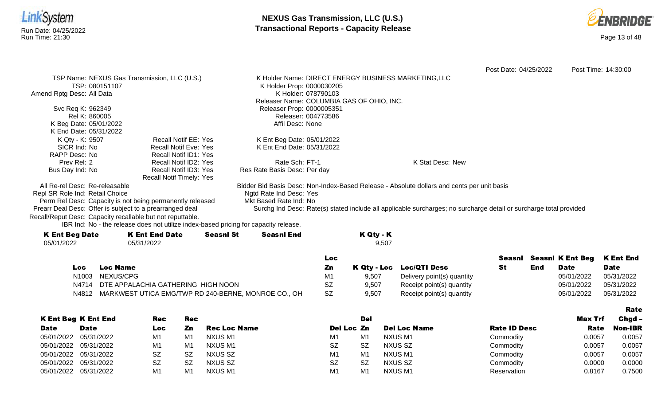



Rate

Post Date: 04/25/2022 Post Time: 14:30:00 TSP Name: NEXUS Gas Transmission, LLC (U.S.) TSP: 080151107 Amend Rptg Desc: All Data Svc Req K: 962349 Rel K: 860005 K Beg Date: 05/01/2022 K End Date: 05/31/2022 K Holder Name: DIRECT ENERGY BUSINESS MARKETING,LLC K Holder Prop: 0000030205 K Holder: 078790103 Releaser Name: COLUMBIA GAS OF OHIO, INC. Releaser Prop: 0000005351 Releaser: 004773586 Affil Desc: None K Qty - K: 9507 SICR Ind: No RAPP Desc: No Prev Rel: 2 Bus Day Ind: No Recall Notif EE: Yes Recall Notif Eve: Yes Recall Notif ID1: Yes Recall Notif ID2: Yes Recall Notif ID3: Yes Recall Notif Timely: Yes K Ent Beg Date: 05/01/2022 K Ent End Date: 05/31/2022 Rate Sch: FT-1 Res Rate Basis Desc: Per day K Stat Desc: New All Re-rel Desc: Re-releasable Repl SR Role Ind: Retail Choice Perm Rel Desc: Capacity is not being permanently released Prearr Deal Desc: Offer is subject to a prearranged deal Bidder Bid Basis Desc: Non-Index-Based Release - Absolute dollars and cents per unit basis Ngtd Rate Ind Desc: Yes Mkt Based Rate Ind: No Surchg Ind Desc: Rate(s) stated include all applicable surcharges; no surcharge detail or surcharge total provided

Recall/Reput Desc: Capacity recallable but not reputtable.

IBR Ind: No - the release does not utilize index-based pricing for capacity release.

| <b>K Ent Beg Date</b> | <b>K Ent End Date</b> | <b>Seasnl St</b> | <b>Seasnl End</b> | K Qty - K |
|-----------------------|-----------------------|------------------|-------------------|-----------|
| 05/01/2022            | 05/31/2022            |                  |                   | 9.507     |
|                       |                       |                  |                   |           |

|       |                                                     | Loc       |       |                            | Seasnl |     | <b>Seasni K Ent Beg K Ent End</b> |             |
|-------|-----------------------------------------------------|-----------|-------|----------------------------|--------|-----|-----------------------------------|-------------|
| Loc   | Loc Name                                            | Ζn        |       | K Qty - Loc Loc/QTI Desc   |        | End | <b>Date</b>                       | <b>Date</b> |
|       | N1003 NEXUS/CPG                                     | M1        | 9.507 | Delivery point(s) quantity |        |     | 05/01/2022                        | 05/31/2022  |
|       | N4714 DTE APPALACHIA GATHERING HIGH NOON            | SZ        | 9.507 | Receipt point(s) quantity  |        |     | 05/01/2022                        | 05/31/2022  |
| N4812 | MARKWEST UTICA EMG/TWP RD 240-BERNE, MONROE CO., OH | <b>SZ</b> | 9,507 | Receipt point(s) quantity  |        |     | 05/01/2022                        | 05/31/2022  |

|                       |                            |     |     |              |                |           |                     |                     |         | .        |
|-----------------------|----------------------------|-----|-----|--------------|----------------|-----------|---------------------|---------------------|---------|----------|
|                       | <b>K Ent Beg K Ent End</b> | Rec | Rec |              |                | Del       |                     |                     | Max Trf | $Chgd -$ |
| <b>Date</b>           | <b>Date</b>                | Loc | Zn  | Rec Loc Name | Del Loc Zn     |           | <b>Del Loc Name</b> | <b>Rate ID Desc</b> | Rate    | Non-IBR  |
| 05/01/2022            | 05/31/2022                 | M1  | M1  | NXUS M1      | M1             | M1        | <b>NXUS M1</b>      | Commodity           | 0.0057  | 0.0057   |
| 05/01/2022 05/31/2022 |                            | M٬  | M1  | NXUS M1      | <b>SZ</b>      | <b>SZ</b> | NXUS SZ             | Commodity           | 0.0057  | 0.0057   |
| 05/01/2022 05/31/2022 |                            | SZ  | SZ  | NXUS SZ      | M <sub>1</sub> | M1        | <b>NXUS M1</b>      | Commodity           | 0.0057  | 0.0057   |
| 05/01/2022 05/31/2022 |                            | SZ  | SZ  | NXUS SZ      | <b>SZ</b>      | SZ        | NXUS SZ             | Commodity           | 0.0000  | 0.0000   |
| 05/01/2022 05/31/2022 |                            | M٬  | M1  | NXUS M1      | M <sub>1</sub> | M1        | NXUS M1             | Reservation         | 0.8167  | 0.7500   |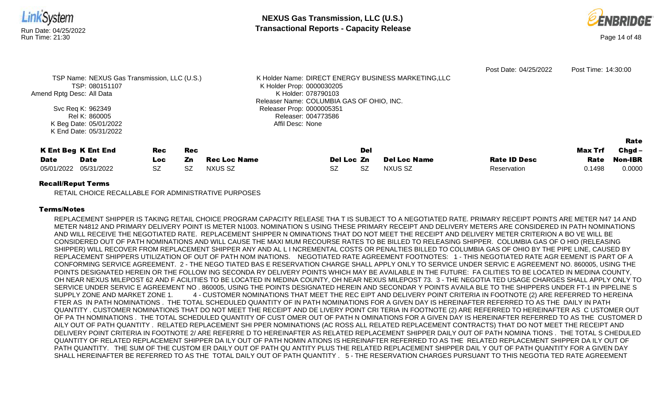

RETAIL CHOICE RECALLABLE FOR ADMINISTRATIVE PURPOSES

# Terms/Notes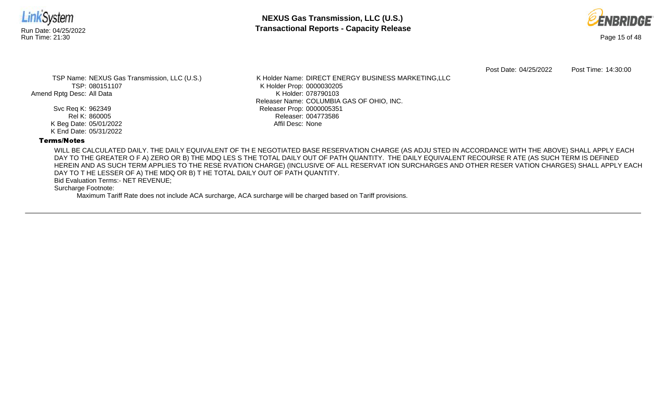



Post Date: 04/25/2022 Post Time: 14:30:00

TSP Name: NEXUS Gas Transmission, LLC (U.S.) TSP: 080151107 Amend Rptg Desc: All Data

> Svc Req K: 962349 Rel K: 860005 K Beg Date: 05/01/2022 K End Date: 05/31/2022

K Holder Name: DIRECT ENERGY BUSINESS MARKETING,LLC K Holder Prop: 0000030205 K Holder: 078790103 Releaser Name: COLUMBIA GAS OF OHIO, INC. Releaser Prop: 0000005351 Releaser: 004773586 Affil Desc: None

# Terms/Notes

WILL BE CALCULATED DAILY. THE DAILY EQUIVALENT OF TH E NEGOTIATED BASE RESERVATION CHARGE (AS ADJU STED IN ACCORDANCE WITH THE ABOVE) SHALL APPLY EACH DAY TO THE GREATER O F A) ZERO OR B) THE MDQ LES S THE TOTAL DAILY OUT OF PATH QUANTITY. THE DAILY EQUIVALENT RECOURSE R ATE (AS SUCH TERM IS DEFINED HEREIN AND AS SUCH TERM APPLIES TO THE RESE RVATION CHARGE) (INCLUSIVE OF ALL RESERVAT ION SURCHARGES AND OTHER RESER VATION CHARGES) SHALL APPLY EACH DAY TO T HE LESSER OF A) THE MDQ OR B) T HE TOTAL DAILY OUT OF PATH QUANTITY.

Bid Evaluation Terms:- NET REVENUE;

Surcharge Footnote: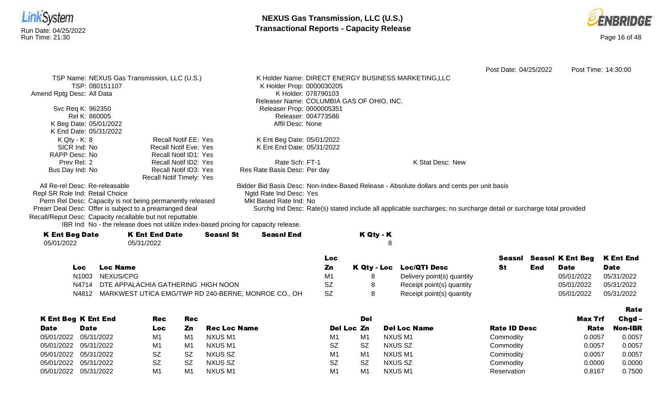



| <b>Loc</b>                                                 | <b>Loc Name</b>                                                                      | Zn                                                                                                                 |           | K Qty - Loc Loc/QTI Desc | St                    | End | <b>Date</b>             | <b>Date</b>         |
|------------------------------------------------------------|--------------------------------------------------------------------------------------|--------------------------------------------------------------------------------------------------------------------|-----------|--------------------------|-----------------------|-----|-------------------------|---------------------|
|                                                            |                                                                                      | <b>Loc</b>                                                                                                         |           |                          | Seasnl                |     | <b>SeasnI K Ent Beg</b> | <b>K Ent End</b>    |
| 05/01/2022                                                 | 05/31/2022                                                                           |                                                                                                                    | 8         |                          |                       |     |                         |                     |
| <b>K Ent Beg Date</b>                                      | <b>K Ent End Date</b><br><b>Seasnl St</b>                                            | <b>Seasnl End</b>                                                                                                  | K Qty - K |                          |                       |     |                         |                     |
|                                                            | IBR Ind: No - the release does not utilize index-based pricing for capacity release. |                                                                                                                    |           |                          |                       |     |                         |                     |
| Recall/Reput Desc: Capacity recallable but not reputtable. |                                                                                      |                                                                                                                    |           |                          |                       |     |                         |                     |
| Prearr Deal Desc: Offer is subject to a prearranged deal   |                                                                                      | Surchg Ind Desc: Rate(s) stated include all applicable surcharges; no surcharge detail or surcharge total provided |           |                          |                       |     |                         |                     |
|                                                            | Perm Rel Desc: Capacity is not being permanently released                            | Mkt Based Rate Ind: No                                                                                             |           |                          |                       |     |                         |                     |
| Repl SR Role Ind: Retail Choice                            |                                                                                      | Ngtd Rate Ind Desc: Yes                                                                                            |           |                          |                       |     |                         |                     |
| All Re-rel Desc: Re-releasable                             |                                                                                      | Bidder Bid Basis Desc: Non-Index-Based Release - Absolute dollars and cents per unit basis                         |           |                          |                       |     |                         |                     |
|                                                            | <b>Recall Notif Timely: Yes</b>                                                      |                                                                                                                    |           |                          |                       |     |                         |                     |
| Bus Day Ind: No                                            | Recall Notif ID3: Yes                                                                | Res Rate Basis Desc: Per day                                                                                       |           |                          |                       |     |                         |                     |
| Prev Rel: 2                                                | Recall Notif ID2: Yes                                                                | Rate Sch: FT-1                                                                                                     |           | K Stat Desc: New         |                       |     |                         |                     |
| SICR Ind: No<br>RAPP Desc: No                              | <b>Recall Notif Eve: Yes</b><br><b>Recall Notif ID1: Yes</b>                         | K Ent End Date: 05/31/2022                                                                                         |           |                          |                       |     |                         |                     |
| $K Qty - K: 8$                                             | Recall Notif EE: Yes                                                                 | K Ent Beg Date: 05/01/2022                                                                                         |           |                          |                       |     |                         |                     |
| K End Date: 05/31/2022                                     |                                                                                      |                                                                                                                    |           |                          |                       |     |                         |                     |
| K Beg Date: 05/01/2022                                     |                                                                                      | Affil Desc: None                                                                                                   |           |                          |                       |     |                         |                     |
| Rel K: 860005                                              |                                                                                      | Releaser: 004773586                                                                                                |           |                          |                       |     |                         |                     |
| Svc Req K: 962350                                          |                                                                                      | Releaser Prop: 0000005351                                                                                          |           |                          |                       |     |                         |                     |
|                                                            |                                                                                      | Releaser Name: COLUMBIA GAS OF OHIO, INC.                                                                          |           |                          |                       |     |                         |                     |
| Amend Rptg Desc: All Data                                  |                                                                                      | K Holder: 078790103                                                                                                |           |                          |                       |     |                         |                     |
| TSP: 080151107                                             |                                                                                      | K Holder Prop: 0000030205                                                                                          |           |                          |                       |     |                         |                     |
|                                                            | TSP Name: NEXUS Gas Transmission, LLC (U.S.)                                         | K Holder Name: DIRECT ENERGY BUSINESS MARKETING, LLC                                                               |           |                          |                       |     |                         |                     |
|                                                            |                                                                                      |                                                                                                                    |           |                          | Post Date: 04/25/2022 |     |                         | Post Time: 14:30:00 |

| Loc   | Loc Name                                            | Ζn             | K Qty - Loc Loc/QTI Desc   | End | <b>Date</b> | <b>Date</b> |
|-------|-----------------------------------------------------|----------------|----------------------------|-----|-------------|-------------|
|       | N1003 NEXUS/CPG                                     | M <sup>1</sup> | Delivery point(s) quantity |     | 05/01/2022  | 05/31/2022  |
|       | N4714 DTE APPALACHIA GATHERING HIGH NOON            |                | Receipt point(s) quantity  |     | 05/01/2022  | 05/31/2022  |
| N4812 | MARKWEST UTICA EMG/TWP RD 240-BERNE, MONROE CO., OH |                | Receipt point(s) quantity  |     | 05/01/2022  | 05/31/2022  |

|                       |                            |                |           |                     |                |                |                     |                     |                | <b>Rate</b>    |
|-----------------------|----------------------------|----------------|-----------|---------------------|----------------|----------------|---------------------|---------------------|----------------|----------------|
|                       | <b>K Ent Beg K Ent End</b> | Rec            | Rec       |                     |                | Del            |                     |                     | <b>Max Trf</b> | $Chgd -$       |
| Date                  | <b>Date</b>                | Loc            | Zn        | <b>Rec Loc Name</b> | Del Loc Zn     |                | <b>Del Loc Name</b> | <b>Rate ID Desc</b> | Rate           | <b>Non-IBR</b> |
| 05/01/2022            | 05/31/2022                 | M <sub>1</sub> | M1        | NXUS M1             | M1             | M1             | NXUS M1             | Commodity           | 0.0057         | 0.0057         |
| 05/01/2022 05/31/2022 |                            | M <sub>1</sub> | M1        | NXUS M1             | SZ             | <b>SZ</b>      | NXUS SZ             | Commodity           | 0.0057         | 0.0057         |
| 05/01/2022 05/31/2022 |                            | SZ             | <b>SZ</b> | NXUS SZ             | M <sub>1</sub> | M1             | NXUS M1             | Commodity           | 0.0057         | 0.0057         |
| 05/01/2022 05/31/2022 |                            | SZ             | -SZ       | NXUS SZ             | <b>SZ</b>      | <b>SZ</b>      | NXUS SZ             | Commodity           | 0.0000         | 0.0000         |
| 05/01/2022            | 05/31/2022                 | M1             | M1        | NXUS M1             | M1             | M <sub>1</sub> | NXUS M1             | Reservation         | 0.8167         | 0.7500         |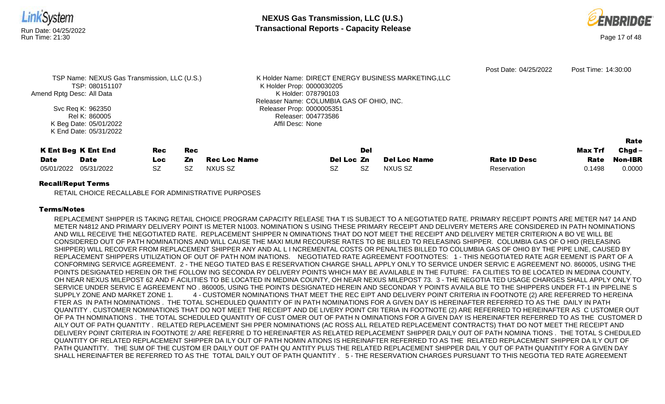

RETAIL CHOICE RECALLABLE FOR ADMINISTRATIVE PURPOSES

# Terms/Notes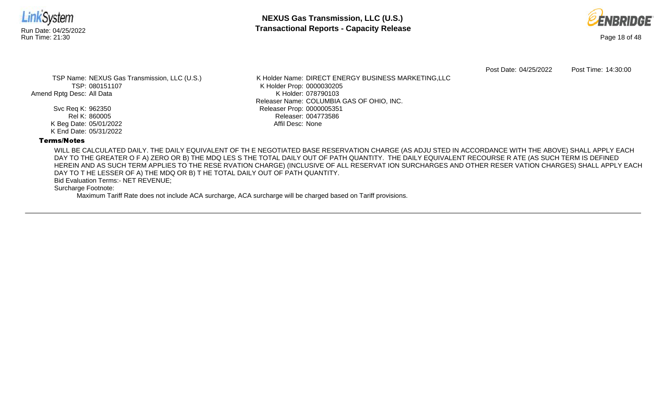



Post Date: 04/25/2022 Post Time: 14:30:00

TSP Name: NEXUS Gas Transmission, LLC (U.S.) TSP: 080151107 Amend Rptg Desc: All Data

> Svc Req K: 962350 Rel K: 860005 K Beg Date: 05/01/2022 K End Date: 05/31/2022

K Holder Name: DIRECT ENERGY BUSINESS MARKETING,LLC K Holder Prop: 0000030205 K Holder: 078790103 Releaser Name: COLUMBIA GAS OF OHIO, INC. Releaser Prop: 0000005351 Releaser: 004773586 Affil Desc: None

# Terms/Notes

WILL BE CALCULATED DAILY. THE DAILY EQUIVALENT OF TH E NEGOTIATED BASE RESERVATION CHARGE (AS ADJU STED IN ACCORDANCE WITH THE ABOVE) SHALL APPLY EACH DAY TO THE GREATER O F A) ZERO OR B) THE MDQ LES S THE TOTAL DAILY OUT OF PATH QUANTITY. THE DAILY EQUIVALENT RECOURSE R ATE (AS SUCH TERM IS DEFINED HEREIN AND AS SUCH TERM APPLIES TO THE RESE RVATION CHARGE) (INCLUSIVE OF ALL RESERVAT ION SURCHARGES AND OTHER RESER VATION CHARGES) SHALL APPLY EACH DAY TO T HE LESSER OF A) THE MDQ OR B) T HE TOTAL DAILY OUT OF PATH QUANTITY.

Bid Evaluation Terms:- NET REVENUE;

Surcharge Footnote: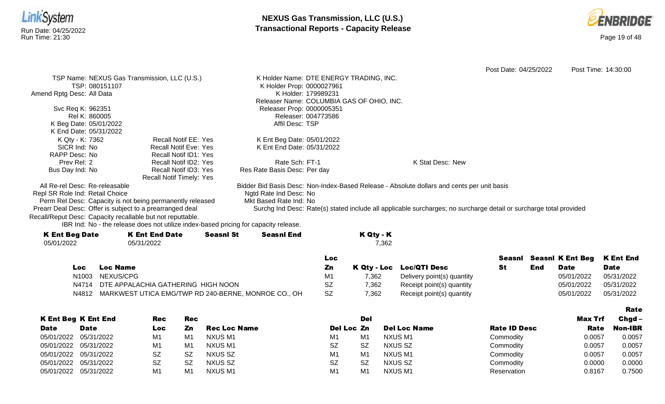



|                                 |                                                                                      |                  |                                                                                            |            |           |                                                                                                                    | Post Date: 04/25/2022 |     |                         | Post Time: 14:30:00 |
|---------------------------------|--------------------------------------------------------------------------------------|------------------|--------------------------------------------------------------------------------------------|------------|-----------|--------------------------------------------------------------------------------------------------------------------|-----------------------|-----|-------------------------|---------------------|
|                                 | TSP Name: NEXUS Gas Transmission, LLC (U.S.)                                         |                  | K Holder Name: DTE ENERGY TRADING, INC.                                                    |            |           |                                                                                                                    |                       |     |                         |                     |
|                                 | TSP: 080151107                                                                       |                  | K Holder Prop: 0000027961                                                                  |            |           |                                                                                                                    |                       |     |                         |                     |
| Amend Rptg Desc: All Data       |                                                                                      |                  | K Holder: 179989231                                                                        |            |           |                                                                                                                    |                       |     |                         |                     |
|                                 |                                                                                      |                  | Releaser Name: COLUMBIA GAS OF OHIO, INC.                                                  |            |           |                                                                                                                    |                       |     |                         |                     |
| Svc Req K: 962351               |                                                                                      |                  | Releaser Prop: 0000005351                                                                  |            |           |                                                                                                                    |                       |     |                         |                     |
| Rel K: 860005                   |                                                                                      |                  | Releaser: 004773586                                                                        |            |           |                                                                                                                    |                       |     |                         |                     |
| K Beg Date: 05/01/2022          |                                                                                      |                  | Affil Desc: TSP                                                                            |            |           |                                                                                                                    |                       |     |                         |                     |
| K End Date: 05/31/2022          |                                                                                      |                  |                                                                                            |            |           |                                                                                                                    |                       |     |                         |                     |
| K Qty - K: 7362                 | <b>Recall Notif EE: Yes</b>                                                          |                  | K Ent Beg Date: 05/01/2022                                                                 |            |           |                                                                                                                    |                       |     |                         |                     |
| SICR Ind: No                    | <b>Recall Notif Eve: Yes</b>                                                         |                  | K Ent End Date: 05/31/2022                                                                 |            |           |                                                                                                                    |                       |     |                         |                     |
| RAPP Desc: No                   | Recall Notif ID1: Yes                                                                |                  |                                                                                            |            |           |                                                                                                                    |                       |     |                         |                     |
| Prev Rel: 2                     | Recall Notif ID2: Yes                                                                |                  | Rate Sch: FT-1                                                                             |            |           | K Stat Desc: New                                                                                                   |                       |     |                         |                     |
| Bus Day Ind: No                 | Recall Notif ID3: Yes                                                                |                  | Res Rate Basis Desc: Per day                                                               |            |           |                                                                                                                    |                       |     |                         |                     |
|                                 | Recall Notif Timely: Yes                                                             |                  |                                                                                            |            |           |                                                                                                                    |                       |     |                         |                     |
| All Re-rel Desc: Re-releasable  |                                                                                      |                  | Bidder Bid Basis Desc: Non-Index-Based Release - Absolute dollars and cents per unit basis |            |           |                                                                                                                    |                       |     |                         |                     |
| Repl SR Role Ind: Retail Choice |                                                                                      |                  | Ngtd Rate Ind Desc: No                                                                     |            |           |                                                                                                                    |                       |     |                         |                     |
|                                 | Perm Rel Desc: Capacity is not being permanently released                            |                  | Mkt Based Rate Ind: No                                                                     |            |           |                                                                                                                    |                       |     |                         |                     |
|                                 | Prearr Deal Desc: Offer is subject to a prearranged deal                             |                  |                                                                                            |            |           | Surchg Ind Desc: Rate(s) stated include all applicable surcharges; no surcharge detail or surcharge total provided |                       |     |                         |                     |
|                                 | Recall/Reput Desc: Capacity recallable but not reputtable.                           |                  |                                                                                            |            |           |                                                                                                                    |                       |     |                         |                     |
|                                 | IBR Ind: No - the release does not utilize index-based pricing for capacity release. |                  |                                                                                            |            |           |                                                                                                                    |                       |     |                         |                     |
| <b>K Ent Beg Date</b>           | <b>K Ent End Date</b>                                                                | <b>Seasnl St</b> | <b>Seasnl End</b>                                                                          |            | K Qty - K |                                                                                                                    |                       |     |                         |                     |
| 05/01/2022                      | 05/31/2022                                                                           |                  |                                                                                            |            | 7,362     |                                                                                                                    |                       |     |                         |                     |
|                                 |                                                                                      |                  |                                                                                            |            |           |                                                                                                                    |                       |     |                         |                     |
|                                 |                                                                                      |                  |                                                                                            | <b>Loc</b> |           |                                                                                                                    | Seasnl                |     | <b>Seasnl K Ent Beg</b> | <b>K Ent End</b>    |
| Loc.                            | <b>Loc Name</b>                                                                      |                  |                                                                                            | Zn         |           | K Qty - Loc Loc/QTI Desc                                                                                           | St                    | End | <b>Date</b>             | <b>Date</b>         |

| Loc.  | Loc Name                                                  | Zn        |       | K Qtv - Loc Loc/QTI Desc   | End | <b>Date</b> | Date       |
|-------|-----------------------------------------------------------|-----------|-------|----------------------------|-----|-------------|------------|
| N1003 | NEXUS/CPG                                                 |           | 7,362 | Delivery point(s) quantity |     | 05/01/2022  | 05/31/2022 |
| N4714 | DTE APPALACHIA GATHERING HIGH NOON                        | <b>SZ</b> | 7,362 | Receipt point(s) quantity  |     | 05/01/2022  | 05/31/2022 |
|       | N4812 MARKWEST UTICA EMG/TWP RD 240-BERNE, MONROE CO., OH | <b>SZ</b> | 7,362 | Receipt point(s) quantity  |     | 05/01/2022  | 05/31/2022 |

|             |                            |            |     |                     |            |                |                     |                     |                | <b>Rate</b>    |
|-------------|----------------------------|------------|-----|---------------------|------------|----------------|---------------------|---------------------|----------------|----------------|
|             | <b>K Ent Beg K Ent End</b> | <b>Rec</b> | Rec |                     |            | Del            |                     |                     | <b>Max Trf</b> | $Chgd -$       |
| <b>Date</b> | <b>Date</b>                | Loc        | Zn  | <b>Rec Loc Name</b> | Del Loc Zn |                | <b>Del Loc Name</b> | <b>Rate ID Desc</b> | Rate           | <b>Non-IBR</b> |
| 05/01/2022  | 05/31/2022                 | M1         | M1  | NXUS M1             | M1         | M <sub>1</sub> | NXUS M1             | Commodity           | 0.0057         | 0.0057         |
|             | 05/01/2022 05/31/2022      | M1         | M1  | NXUS M1             | SZ         | <b>SZ</b>      | NXUS SZ             | Commodity           | 0.0057         | 0.0057         |
|             | 05/01/2022 05/31/2022      | SZ         | .SZ | NXUS SZ             | M1         | M <sub>1</sub> | NXUS M1             | Commodity           | 0.0057         | 0.0057         |
|             | 05/01/2022 05/31/2022      | <b>SZ</b>  | SZ  | NXUS SZ             | <b>SZ</b>  | <b>SZ</b>      | NXUS SZ             | Commodity           | 0.0000         | 0.0000         |
| 05/01/2022  | 05/31/2022                 | M٬         | M1  | NXUS M1             | M1         | M <sub>1</sub> | NXUS M1             | Reservation         | 0.8167         | 0.7500         |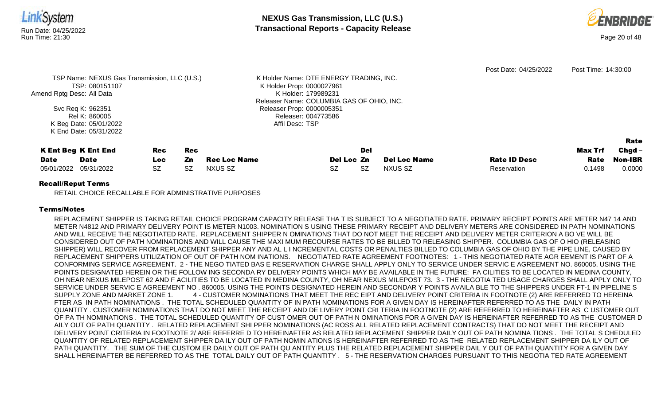



|                            |                                              |      |            |                     |                                           |           |                     | Post Date: 04/25/2022 | Post Time: 14:30:00 |                |
|----------------------------|----------------------------------------------|------|------------|---------------------|-------------------------------------------|-----------|---------------------|-----------------------|---------------------|----------------|
|                            | TSP Name: NEXUS Gas Transmission, LLC (U.S.) |      |            |                     | K Holder Name: DTE ENERGY TRADING, INC.   |           |                     |                       |                     |                |
|                            | TSP: 080151107                               |      |            |                     | K Holder Prop: 0000027961                 |           |                     |                       |                     |                |
| Amend Rptg Desc: All Data  |                                              |      |            |                     | K Holder: 179989231                       |           |                     |                       |                     |                |
|                            |                                              |      |            |                     | Releaser Name: COLUMBIA GAS OF OHIO, INC. |           |                     |                       |                     |                |
|                            | Svc Req K: 962351                            |      |            |                     | Releaser Prop: 0000005351                 |           |                     |                       |                     |                |
|                            | Rel K: 860005                                |      |            |                     | Releaser: 004773586                       |           |                     |                       |                     |                |
|                            | K Beg Date: 05/01/2022                       |      |            |                     | Affil Desc: TSP                           |           |                     |                       |                     |                |
|                            | K End Date: 05/31/2022                       |      |            |                     |                                           |           |                     |                       |                     |                |
|                            |                                              |      |            |                     |                                           |           |                     |                       |                     | Rate           |
| <b>K Ent Beg K Ent End</b> |                                              | Rec  | <b>Rec</b> |                     |                                           | Del       |                     |                       | Max Trf             | $Chgd -$       |
| <b>Date</b>                | <b>Date</b>                                  | Loc. | Zn         | <b>Rec Loc Name</b> | Del Loc Zn                                |           | <b>Del Loc Name</b> | <b>Rate ID Desc</b>   | Rate                | <b>Non-IBR</b> |
| 05/01/2022                 | 05/31/2022                                   | SZ   | SZ         | NXUS SZ             | SZ                                        | <b>SZ</b> | NXUS SZ             | Reservation           | 0.1498              | 0.0000         |

RETAIL CHOICE RECALLABLE FOR ADMINISTRATIVE PURPOSES

# Terms/Notes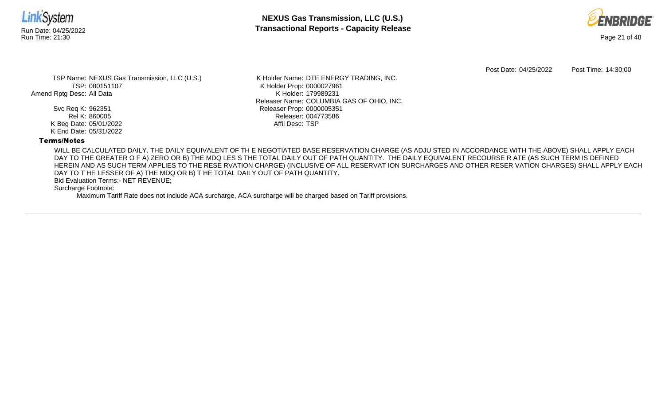



Post Date: 04/25/2022 Post Time: 14:30:00

TSP Name: NEXUS Gas Transmission, LLC (U.S.) TSP: 080151107 Amend Rptg Desc: All Data

> Svc Req K: 962351 Rel K: 860005 K Beg Date: 05/01/2022 K End Date: 05/31/2022

K Holder Name: DTE ENERGY TRADING, INC. K Holder Prop: 0000027961 K Holder: 179989231 Releaser Name: COLUMBIA GAS OF OHIO, INC. Releaser Prop: 0000005351 Releaser: 004773586 Affil Desc: TSP

# Terms/Notes

WILL BE CALCULATED DAILY. THE DAILY EQUIVALENT OF TH E NEGOTIATED BASE RESERVATION CHARGE (AS ADJU STED IN ACCORDANCE WITH THE ABOVE) SHALL APPLY EACH DAY TO THE GREATER O F A) ZERO OR B) THE MDQ LES S THE TOTAL DAILY OUT OF PATH QUANTITY. THE DAILY EQUIVALENT RECOURSE R ATE (AS SUCH TERM IS DEFINED HEREIN AND AS SUCH TERM APPLIES TO THE RESE RVATION CHARGE) (INCLUSIVE OF ALL RESERVAT ION SURCHARGES AND OTHER RESER VATION CHARGES) SHALL APPLY EACH DAY TO T HE LESSER OF A) THE MDQ OR B) T HE TOTAL DAILY OUT OF PATH QUANTITY.

Bid Evaluation Terms:- NET REVENUE;

Surcharge Footnote: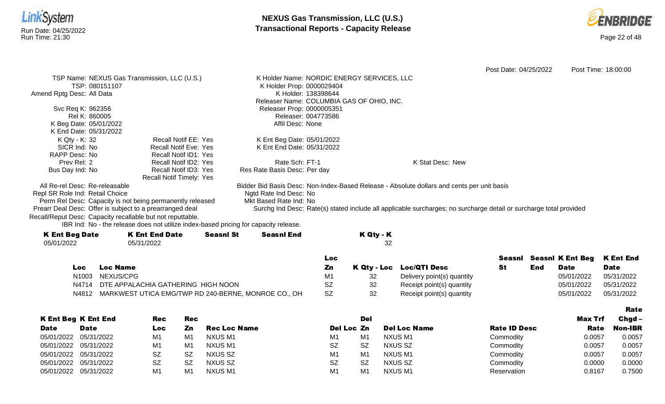



|                                                            |                                                                                      |                  |                              |                                            | Post Date: 04/25/2022                                                                                              | Post Time: 18:00:00 |
|------------------------------------------------------------|--------------------------------------------------------------------------------------|------------------|------------------------------|--------------------------------------------|--------------------------------------------------------------------------------------------------------------------|---------------------|
|                                                            | TSP Name: NEXUS Gas Transmission, LLC (U.S.)                                         |                  |                              | K Holder Name: NORDIC ENERGY SERVICES, LLC |                                                                                                                    |                     |
| TSP: 080151107                                             |                                                                                      |                  | K Holder Prop: 0000029404    |                                            |                                                                                                                    |                     |
| Amend Rptg Desc: All Data                                  |                                                                                      |                  |                              | K Holder: 138398644                        |                                                                                                                    |                     |
|                                                            |                                                                                      |                  |                              | Releaser Name: COLUMBIA GAS OF OHIO, INC.  |                                                                                                                    |                     |
| Svc Req K: 962356                                          |                                                                                      |                  | Releaser Prop: 0000005351    |                                            |                                                                                                                    |                     |
| Rel K: 860005                                              |                                                                                      |                  |                              | Releaser: 004773586                        |                                                                                                                    |                     |
| K Beg Date: 05/01/2022                                     |                                                                                      |                  | Affil Desc: None             |                                            |                                                                                                                    |                     |
| K End Date: 05/31/2022                                     |                                                                                      |                  |                              |                                            |                                                                                                                    |                     |
| K Qty - K: 32                                              | Recall Notif EE: Yes                                                                 |                  | K Ent Beg Date: 05/01/2022   |                                            |                                                                                                                    |                     |
| SICR Ind: No                                               | <b>Recall Notif Eve: Yes</b>                                                         |                  | K Ent End Date: 05/31/2022   |                                            |                                                                                                                    |                     |
| RAPP Desc: No                                              | Recall Notif ID1: Yes                                                                |                  |                              |                                            |                                                                                                                    |                     |
| Prev Rel: 2                                                | Recall Notif ID2: Yes                                                                |                  | Rate Sch: FT-1               |                                            | K Stat Desc: New                                                                                                   |                     |
| Bus Day Ind: No                                            | Recall Notif ID3: Yes                                                                |                  | Res Rate Basis Desc: Per day |                                            |                                                                                                                    |                     |
|                                                            | Recall Notif Timely: Yes                                                             |                  |                              |                                            |                                                                                                                    |                     |
| All Re-rel Desc: Re-releasable                             |                                                                                      |                  |                              |                                            | Bidder Bid Basis Desc: Non-Index-Based Release - Absolute dollars and cents per unit basis                         |                     |
| Repl SR Role Ind: Retail Choice                            |                                                                                      |                  | Ngtd Rate Ind Desc: No       |                                            |                                                                                                                    |                     |
| Perm Rel Desc: Capacity is not being permanently released  |                                                                                      |                  | Mkt Based Rate Ind: No       |                                            |                                                                                                                    |                     |
| Prearr Deal Desc: Offer is subject to a prearranged deal   |                                                                                      |                  |                              |                                            | Surchg Ind Desc: Rate(s) stated include all applicable surcharges; no surcharge detail or surcharge total provided |                     |
| Recall/Reput Desc: Capacity recallable but not reputtable. |                                                                                      |                  |                              |                                            |                                                                                                                    |                     |
|                                                            | IBR Ind: No - the release does not utilize index-based pricing for capacity release. |                  |                              |                                            |                                                                                                                    |                     |
| <b>K Ent Beg Date</b>                                      | <b>K Ent End Date</b>                                                                | <b>Seasnl St</b> | <b>Seasnl End</b>            | K Qty - K                                  |                                                                                                                    |                     |
| 05/01/2022                                                 | 05/31/2022                                                                           |                  |                              | 32                                         |                                                                                                                    |                     |

|       |                                                     | Loc |    |                            |     | Seasni Seasni K Ent Beg K Ent End |            |
|-------|-----------------------------------------------------|-----|----|----------------------------|-----|-----------------------------------|------------|
| LOC   | <b>Loc Name</b>                                     | Zn  |    | K Qty - Loc Loc/QTI Desc   | End | <b>Date</b>                       | Date       |
| N1003 | NEXUS/CPG                                           | M1  |    | Delivery point(s) quantity |     | 05/01/2022                        | 05/31/2022 |
|       | N4714 DTE APPALACHIA GATHERING HIGH NOON            | SZ  | 32 | Receipt point(s) quantity  |     | 05/01/2022                        | 05/31/2022 |
| N4812 | MARKWEST UTICA EMG/TWP RD 240-BERNE, MONROE CO., OH | SZ  |    | Receipt point(s) quantity  |     | 05/01/2022                        | 05/31/2022 |

|             |                            |           |           |                     |                |                |                     |                     |         | Rate           |
|-------------|----------------------------|-----------|-----------|---------------------|----------------|----------------|---------------------|---------------------|---------|----------------|
|             | <b>K Ent Beg K Ent End</b> | Rec       | Rec       |                     |                | Del            |                     |                     | Max Trf | $Chqd -$       |
| <b>Date</b> | <b>Date</b>                | Loc       | Zn        | <b>Rec Loc Name</b> | Del Loc Zn     |                | <b>Del Loc Name</b> | <b>Rate ID Desc</b> | Rate    | <b>Non-IBR</b> |
| 05/01/2022  | 05/31/2022                 | M1        | M1        | NXUS M1             | M1             | M1             | NXUS M1             | Commodity           | 0.0057  | 0.0057         |
|             | 05/01/2022 05/31/2022      | M1        | M1        | NXUS M1             | <b>SZ</b>      | .SZ            | NXUS SZ             | Commodity           | 0.0057  | 0.0057         |
|             | 05/01/2022 05/31/2022      | <b>SZ</b> | <b>SZ</b> | NXUS SZ             | M <sub>1</sub> | M <sub>1</sub> | NXUS M1             | Commodity           | 0.0057  | 0.0057         |
|             | 05/01/2022 05/31/2022      | <b>SZ</b> | -SZ       | NXUS SZ             | <b>SZ</b>      | <b>SZ</b>      | NXUS SZ             | Commodity           | 0.0000  | 0.0000         |
|             | 05/01/2022 05/31/2022      | M1        | M1        | NXUS M1             | M1             | M <sub>1</sub> | NXUS M1             | Reservation         | 0.8167  | 0.7500         |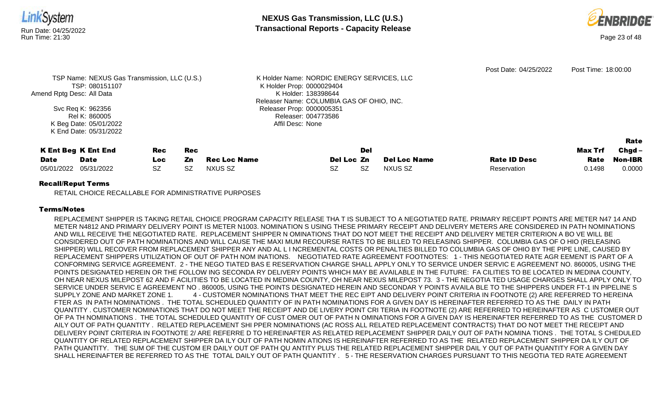

| <b>Date</b> | <b>Date</b>           | Loc |     | <b>Zn</b> Rec Loc Name |     | Del Loc Zn Del Loc Name | <b>Rate ID Desc</b> |        | <b>Rate Non-IBR</b> |
|-------------|-----------------------|-----|-----|------------------------|-----|-------------------------|---------------------|--------|---------------------|
|             | 05/01/2022 05/31/2022 |     | -SZ | NXUS SZ                | .SZ | <b>NXUS SZ</b>          | Reservation         | 0.1498 | 0.0000              |

RETAIL CHOICE RECALLABLE FOR ADMINISTRATIVE PURPOSES

# Terms/Notes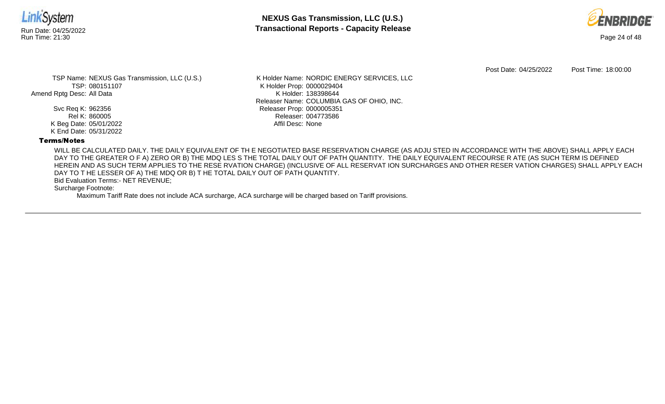



Post Date: 04/25/2022 Post Time: 18:00:00

TSP Name: NEXUS Gas Transmission, LLC (U.S.) TSP: 080151107 Amend Rptg Desc: All Data

> Svc Req K: 962356 Rel K: 860005 K Beg Date: 05/01/2022 K End Date: 05/31/2022

K Holder Name: NORDIC ENERGY SERVICES, LLC K Holder Prop: 0000029404 K Holder: 138398644 Releaser Name: COLUMBIA GAS OF OHIO, INC. Releaser Prop: 0000005351 Releaser: 004773586 Affil Desc: None

# Terms/Notes

WILL BE CALCULATED DAILY. THE DAILY EQUIVALENT OF TH E NEGOTIATED BASE RESERVATION CHARGE (AS ADJU STED IN ACCORDANCE WITH THE ABOVE) SHALL APPLY EACH DAY TO THE GREATER O F A) ZERO OR B) THE MDQ LES S THE TOTAL DAILY OUT OF PATH QUANTITY. THE DAILY EQUIVALENT RECOURSE R ATE (AS SUCH TERM IS DEFINED HEREIN AND AS SUCH TERM APPLIES TO THE RESE RVATION CHARGE) (INCLUSIVE OF ALL RESERVAT ION SURCHARGES AND OTHER RESER VATION CHARGES) SHALL APPLY EACH DAY TO T HE LESSER OF A) THE MDQ OR B) T HE TOTAL DAILY OUT OF PATH QUANTITY.

Bid Evaluation Terms:- NET REVENUE;

Surcharge Footnote: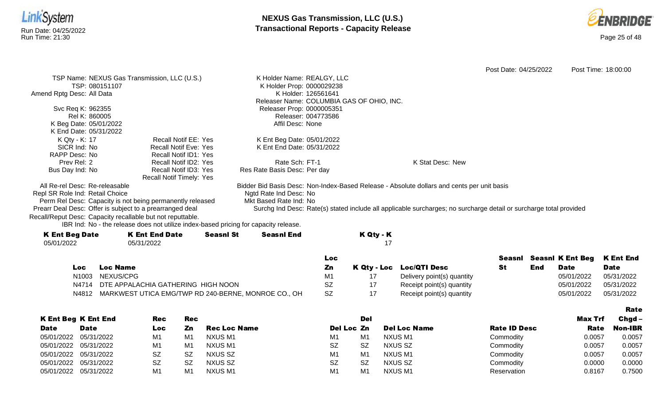



Post Date: 04/25/2022 Post Time: 18:00:00 TSP Name: NEXUS Gas Transmission, LLC (U.S.) TSP: 080151107 Amend Rptg Desc: All Data Svc Req K: 962355 Rel K: 860005 K Beg Date: 05/01/2022 K End Date: 05/31/2022 K Holder Name: REALGY, LLC K Holder Prop: 0000029238 K Holder: 126561641 Releaser Name: COLUMBIA GAS OF OHIO, INC. Releaser Prop: 0000005351 Releaser: 004773586 Affil Desc: None K Qty - K: 17 SICR Ind: No RAPP Desc: No Prev Rel: 2 Bus Day Ind: No Recall Notif EE: Yes Recall Notif Eve: Yes Recall Notif ID1: Yes Recall Notif ID2: Yes Recall Notif ID3: Yes Recall Notif Timely: Yes K Ent Beg Date: 05/01/2022 K Ent End Date: 05/31/2022 Rate Sch: FT-1 Res Rate Basis Desc: Per day K Stat Desc: New All Re-rel Desc: Re-releasable Repl SR Role Ind: Retail Choice Perm Rel Desc: Capacity is not being permanently released Prearr Deal Desc: Offer is subject to a prearranged deal Bidder Bid Basis Desc: Non-Index-Based Release - Absolute dollars and cents per unit basis Ngtd Rate Ind Desc: No Mkt Based Rate Ind: No Surchg Ind Desc: Rate(s) stated include all applicable surcharges; no surcharge detail or surcharge total provided Recall/Reput Desc: Capacity recallable but not reputtable. IBR Ind: No - the release does not utilize index-based pricing for capacity release. K Ent Beg Date K Ent End Date Seasnl St Seasnl End K Qty - K 05/01/2022 05/31/2022 17

|       |                                                     | Loc |                            | Seasnl |     |             | Seasni K Ent Beg K Ent End |
|-------|-----------------------------------------------------|-----|----------------------------|--------|-----|-------------|----------------------------|
| Loc   | <b>Loc Name</b>                                     | Zn  | K Qty - Loc Loc/QTI Desc   |        | End | <b>Date</b> | <b>Date</b>                |
| N1003 | NEXUS/CPG                                           | M1  | Delivery point(s) quantity |        |     | 05/01/2022  | 05/31/2022                 |
| N4714 | DTE APPALACHIA GATHERING HIGH NOON                  | SZ  | Receipt point(s) quantity  |        |     | 05/01/2022  | 05/31/2022                 |
| N4812 | MARKWEST UTICA EMG/TWP RD 240-BERNE, MONROE CO., OH | .SZ | Receipt point(s) quantity  |        |     | 05/01/2022  | 05/31/2022                 |

|             |                            |           |           |                     |            |                |                     |                     |         | Rate           |
|-------------|----------------------------|-----------|-----------|---------------------|------------|----------------|---------------------|---------------------|---------|----------------|
|             | <b>K Ent Beg K Ent End</b> | Rec       | Rec       |                     |            | Del            |                     |                     | Max Trf | $Chgd -$       |
| <b>Date</b> | <b>Date</b>                | Loc       | Zn        | <b>Rec Loc Name</b> | Del Loc Zn |                | <b>Del Loc Name</b> | <b>Rate ID Desc</b> | Rate    | <b>Non-IBR</b> |
| 05/01/2022  | 05/31/2022                 | M1        | M1        | NXUS M1             | M1         | M1             | NXUS M1             | Commodity           | 0.0057  | 0.0057         |
|             | 05/01/2022 05/31/2022      | M1        | M1        | NXUS M1             | SZ         | SZ             | NXUS SZ             | Commodity           | 0.0057  | 0.0057         |
|             | 05/01/2022 05/31/2022      | <b>SZ</b> | <b>SZ</b> | NXUS SZ             | M1         | M <sub>1</sub> | <b>NXUS M1</b>      | Commodity           | 0.0057  | 0.0057         |
| 05/01/2022  | 05/31/2022                 | <b>SZ</b> | <b>SZ</b> | NXUS SZ             | <b>SZ</b>  | SZ             | NXUS SZ             | Commodity           | 0.0000  | 0.0000         |
| 05/01/2022  | 05/31/2022                 |           | M1        | NXUS M1             | M1         | M1             | NXUS M1             | Reservation         | 0.8167  | 0.7500         |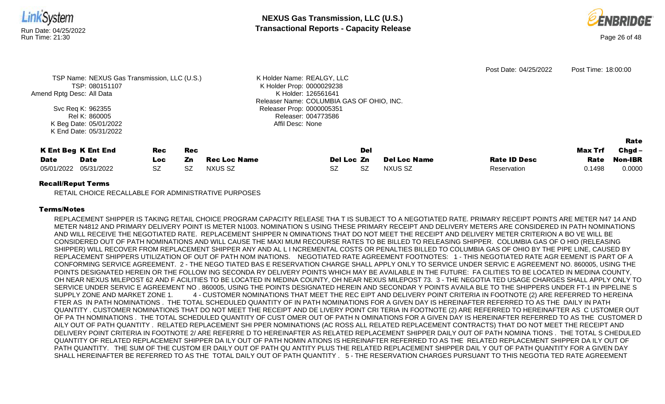



|                            |                                              |           |     |                     |                                           |           |                     | Post Date: 04/25/2022 | Post Time: 18:00:00 |                |
|----------------------------|----------------------------------------------|-----------|-----|---------------------|-------------------------------------------|-----------|---------------------|-----------------------|---------------------|----------------|
|                            | TSP Name: NEXUS Gas Transmission, LLC (U.S.) |           |     |                     | K Holder Name: REALGY, LLC                |           |                     |                       |                     |                |
|                            | TSP: 080151107                               |           |     |                     | K Holder Prop: 0000029238                 |           |                     |                       |                     |                |
| Amend Rptg Desc: All Data  |                                              |           |     |                     | K Holder: 126561641                       |           |                     |                       |                     |                |
|                            |                                              |           |     |                     | Releaser Name: COLUMBIA GAS OF OHIO, INC. |           |                     |                       |                     |                |
|                            | Svc Req K: 962355                            |           |     |                     | Releaser Prop: 0000005351                 |           |                     |                       |                     |                |
|                            | Rel K: 860005                                |           |     |                     | Releaser: 004773586                       |           |                     |                       |                     |                |
|                            | K Beg Date: 05/01/2022                       |           |     |                     | Affil Desc: None                          |           |                     |                       |                     |                |
|                            | K End Date: 05/31/2022                       |           |     |                     |                                           |           |                     |                       |                     |                |
|                            |                                              |           |     |                     |                                           |           |                     |                       |                     | Rate           |
| <b>K Ent Beg K Ent End</b> |                                              | Rec       | Rec |                     |                                           | Del       |                     |                       | Max Trf             | $Chgd -$       |
| <b>Date</b>                | <b>Date</b>                                  | Loc.      | Zn  | <b>Rec Loc Name</b> | Del Loc Zn                                |           | <b>Del Loc Name</b> | <b>Rate ID Desc</b>   | Rate                | <b>Non-IBR</b> |
| 05/01/2022                 | 05/31/2022                                   | <b>SZ</b> | SZ. | <b>NXUS SZ</b>      | SZ.                                       | <b>SZ</b> | <b>NXUS SZ</b>      | Reservation           | 0.1498              | 0.0000         |
| $D = -11/D = 0.14$         |                                              |           |     |                     |                                           |           |                     |                       |                     |                |

RETAIL CHOICE RECALLABLE FOR ADMINISTRATIVE PURPOSES

# Terms/Notes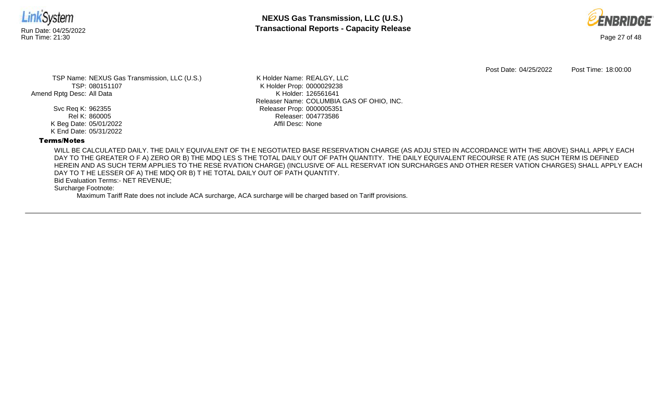



Post Date: 04/25/2022 Post Time: 18:00:00

TSP Name: NEXUS Gas Transmission, LLC (U.S.) TSP: 080151107 Amend Rptg Desc: All Data

> Svc Req K: 962355 Rel K: 860005 K Beg Date: 05/01/2022 K End Date: 05/31/2022

K Holder Name: REALGY, LLC K Holder Prop: 0000029238 K Holder: 126561641 Releaser Name: COLUMBIA GAS OF OHIO, INC. Releaser Prop: 0000005351 Releaser: 004773586 Affil Desc: None

# Terms/Notes

WILL BE CALCULATED DAILY. THE DAILY EQUIVALENT OF TH E NEGOTIATED BASE RESERVATION CHARGE (AS ADJU STED IN ACCORDANCE WITH THE ABOVE) SHALL APPLY EACH DAY TO THE GREATER O F A) ZERO OR B) THE MDQ LES S THE TOTAL DAILY OUT OF PATH QUANTITY. THE DAILY EQUIVALENT RECOURSE R ATE (AS SUCH TERM IS DEFINED HEREIN AND AS SUCH TERM APPLIES TO THE RESE RVATION CHARGE) (INCLUSIVE OF ALL RESERVAT ION SURCHARGES AND OTHER RESER VATION CHARGES) SHALL APPLY EACH DAY TO T HE LESSER OF A) THE MDQ OR B) T HE TOTAL DAILY OUT OF PATH QUANTITY.

Bid Evaluation Terms:- NET REVENUE;

Surcharge Footnote: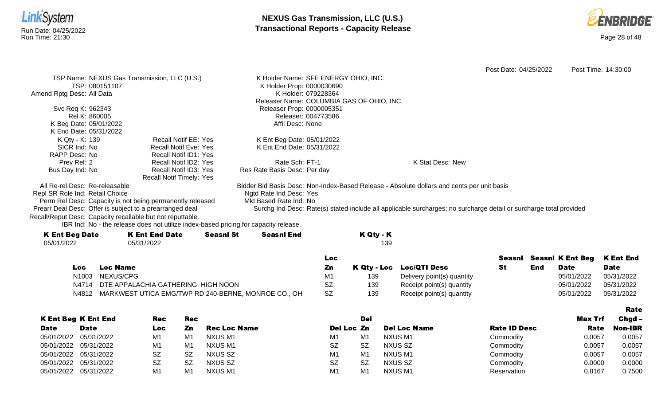



|                                                            |                                                                                      |                  |                                      | <b>Loc</b>                                |                                                                                                                    | <b>Seasni</b> Seasni K Ent Beg | K Ent End           |
|------------------------------------------------------------|--------------------------------------------------------------------------------------|------------------|--------------------------------------|-------------------------------------------|--------------------------------------------------------------------------------------------------------------------|--------------------------------|---------------------|
| 05/01/2022                                                 | 05/31/2022                                                                           |                  |                                      | 139                                       |                                                                                                                    |                                |                     |
| <b>K Ent Beg Date</b>                                      | <b>K Ent End Date</b>                                                                | <b>Seasnl St</b> | <b>Seasnl End</b>                    | K Qty - K                                 |                                                                                                                    |                                |                     |
|                                                            | IBR Ind: No - the release does not utilize index-based pricing for capacity release. |                  |                                      |                                           |                                                                                                                    |                                |                     |
| Recall/Reput Desc: Capacity recallable but not reputtable. |                                                                                      |                  |                                      |                                           |                                                                                                                    |                                |                     |
| Prearr Deal Desc: Offer is subject to a prearranged deal   |                                                                                      |                  |                                      |                                           | Surchg Ind Desc: Rate(s) stated include all applicable surcharges; no surcharge detail or surcharge total provided |                                |                     |
|                                                            | Perm Rel Desc: Capacity is not being permanently released                            |                  | Mkt Based Rate Ind: No               |                                           |                                                                                                                    |                                |                     |
| Repl SR Role Ind: Retail Choice                            |                                                                                      |                  | Ngtd Rate Ind Desc: Yes              |                                           |                                                                                                                    |                                |                     |
| All Re-rel Desc: Re-releasable                             |                                                                                      |                  |                                      |                                           | Bidder Bid Basis Desc: Non-Index-Based Release - Absolute dollars and cents per unit basis                         |                                |                     |
|                                                            | Recall Notif Timely: Yes                                                             |                  |                                      |                                           |                                                                                                                    |                                |                     |
| Bus Day Ind: No                                            | Recall Notif ID3: Yes                                                                |                  | Res Rate Basis Desc: Per day         |                                           |                                                                                                                    |                                |                     |
| Prev Rel: 2                                                | Recall Notif ID2: Yes                                                                |                  | Rate Sch: FT-1                       |                                           | K Stat Desc: New                                                                                                   |                                |                     |
| RAPP Desc: No                                              | Recall Notif ID1: Yes                                                                |                  |                                      |                                           |                                                                                                                    |                                |                     |
| SICR Ind: No                                               | <b>Recall Notif Eve: Yes</b>                                                         |                  | K Ent End Date: 05/31/2022           |                                           |                                                                                                                    |                                |                     |
| K Qty - K: 139                                             | Recall Notif EE: Yes                                                                 |                  | K Ent Beg Date: 05/01/2022           |                                           |                                                                                                                    |                                |                     |
| K End Date: 05/31/2022                                     |                                                                                      |                  |                                      |                                           |                                                                                                                    |                                |                     |
| K Beg Date: 05/01/2022                                     |                                                                                      |                  | Affil Desc: None                     |                                           |                                                                                                                    |                                |                     |
| Rel K: 860005                                              |                                                                                      |                  | Releaser: 004773586                  |                                           |                                                                                                                    |                                |                     |
| Svc Req K: 962343                                          |                                                                                      |                  | Releaser Prop: 0000005351            |                                           |                                                                                                                    |                                |                     |
| Amend Rptg Desc: All Data                                  |                                                                                      |                  | K Holder: 079228364                  | Releaser Name: COLUMBIA GAS OF OHIO, INC. |                                                                                                                    |                                |                     |
| TSP: 080151107                                             |                                                                                      |                  | K Holder Prop: 0000030690            |                                           |                                                                                                                    |                                |                     |
|                                                            | TSP Name: NEXUS Gas Transmission, LLC (U.S.)                                         |                  | K Holder Name: SFE ENERGY OHIO, INC. |                                           |                                                                                                                    |                                |                     |
|                                                            |                                                                                      |                  |                                      |                                           | Post Date: 04/25/2022                                                                                              |                                | Post Time: 14:30:00 |
|                                                            |                                                                                      |                  |                                      |                                           |                                                                                                                    |                                |                     |

| Loc   | Loc Name                                            | Ζn |     | K Qty - Loc Loc/QTI Desc   | End | <b>Date</b> | <b>Date</b> |
|-------|-----------------------------------------------------|----|-----|----------------------------|-----|-------------|-------------|
| N1003 | NEXUS/CPG                                           | M1 | 139 | Delivery point(s) quantity |     | 05/01/2022  | 05/31/2022  |
|       | N4714 DTE APPALACHIA GATHERING HIGH NOON            | SZ | 139 | Receipt point(s) quantity  |     | 05/01/2022  | 05/31/2022  |
| N4812 | MARKWEST UTICA EMG/TWP RD 240-BERNE, MONROE CO., OH |    | 139 | Receipt point(s) quantity  |     | 05/01/2022  | 05/31/2022  |

|                       |                            |           |     |                     |                |                |                     |                     |         | Rate           |
|-----------------------|----------------------------|-----------|-----|---------------------|----------------|----------------|---------------------|---------------------|---------|----------------|
|                       | <b>K Ent Beg K Ent End</b> | Rec       | Rec |                     |                | Del            |                     |                     | Max Trf | $Chqd -$       |
| <b>Date</b>           | <b>Date</b>                | Loc       | Zn  | <b>Rec Loc Name</b> | Del Loc Zn     |                | <b>Del Loc Name</b> | <b>Rate ID Desc</b> | Rate    | <b>Non-IBR</b> |
|                       | 05/01/2022 05/31/2022      | M1        | M1  | NXUS M1             | M1             | M <sub>1</sub> | NXUS M1             | Commodity           | 0.0057  | 0.0057         |
|                       | 05/01/2022 05/31/2022      | M1        | M1  | NXUS M1             | <b>SZ</b>      | <b>SZ</b>      | NXUS SZ             | Commodity           | 0.0057  | 0.0057         |
| 05/01/2022 05/31/2022 |                            | SZ        | .SZ | NXUS SZ             | M <sub>1</sub> | M <sub>1</sub> | NXUS M1             | Commodity           | 0.0057  | 0.0057         |
|                       | 05/01/2022 05/31/2022      | <b>SZ</b> | -SZ | NXUS SZ             | <b>SZ</b>      | <b>SZ</b>      | NXUS SZ             | Commodity           | 0.0000  | 0.0000         |
| 05/01/2022 05/31/2022 |                            | M1        | M1  | NXUS M1             | M <sub>1</sub> | M <sub>1</sub> | NXUS M1             | Reservation         | 0.8167  | 0.7500         |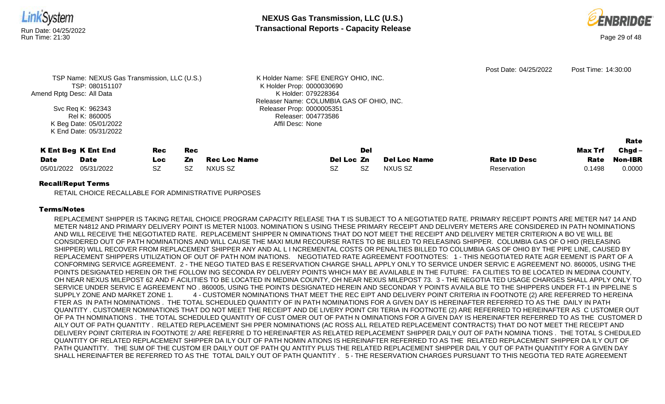



|                           |                                              |           |           |                     |                                           |           |                     | Post Date: 04/25/2022 | Post Time: 14:30:00 |          |
|---------------------------|----------------------------------------------|-----------|-----------|---------------------|-------------------------------------------|-----------|---------------------|-----------------------|---------------------|----------|
|                           | TSP Name: NEXUS Gas Transmission, LLC (U.S.) |           |           |                     | K Holder Name: SFE ENERGY OHIO, INC.      |           |                     |                       |                     |          |
|                           | TSP: 080151107                               |           |           |                     | K Holder Prop: 0000030690                 |           |                     |                       |                     |          |
| Amend Rptg Desc: All Data |                                              |           |           |                     | K Holder: 079228364                       |           |                     |                       |                     |          |
|                           |                                              |           |           |                     | Releaser Name: COLUMBIA GAS OF OHIO, INC. |           |                     |                       |                     |          |
|                           | Svc Req K: 962343                            |           |           |                     | Releaser Prop: 0000005351                 |           |                     |                       |                     |          |
|                           | Rel K: 860005                                |           |           |                     | Releaser: 004773586                       |           |                     |                       |                     |          |
|                           | K Beg Date: 05/01/2022                       |           |           |                     | Affil Desc: None                          |           |                     |                       |                     |          |
|                           | K End Date: 05/31/2022                       |           |           |                     |                                           |           |                     |                       |                     |          |
|                           |                                              |           |           |                     |                                           |           |                     |                       |                     | Rate     |
|                           | <b>K Ent Beg K Ent End</b>                   | Rec       | Rec       |                     |                                           | Del       |                     |                       | Max Trf             | $Chgd -$ |
|                           |                                              |           |           |                     |                                           |           |                     |                       |                     |          |
| <b>Date</b>               | <b>Date</b>                                  | Loc.      | Zn        | <b>Rec Loc Name</b> | Del Loc Zn                                |           | <b>Del Loc Name</b> | <b>Rate ID Desc</b>   | Rate                | Non-IBR  |
| 05/01/2022                | 05/31/2022                                   | <b>SZ</b> | <b>SZ</b> | <b>NXUS SZ</b>      | SZ.                                       | <b>SZ</b> | NXUS SZ             | Reservation           | 0.1498              | 0.0000   |
|                           |                                              |           |           |                     |                                           |           |                     |                       |                     |          |

RETAIL CHOICE RECALLABLE FOR ADMINISTRATIVE PURPOSES

# Terms/Notes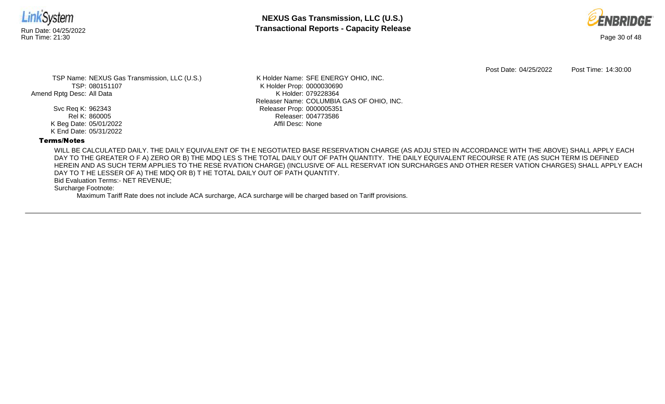



Post Date: 04/25/2022 Post Time: 14:30:00

TSP Name: NEXUS Gas Transmission, LLC (U.S.) TSP: 080151107 Amend Rptg Desc: All Data

> Svc Req K: 962343 Rel K: 860005 K Beg Date: 05/01/2022 K End Date: 05/31/2022

K Holder Name: SFE ENERGY OHIO, INC. K Holder Prop: 0000030690 K Holder: 079228364 Releaser Name: COLUMBIA GAS OF OHIO, INC. Releaser Prop: 0000005351 Releaser: 004773586 Affil Desc: None

# Terms/Notes

WILL BE CALCULATED DAILY. THE DAILY EQUIVALENT OF TH E NEGOTIATED BASE RESERVATION CHARGE (AS ADJU STED IN ACCORDANCE WITH THE ABOVE) SHALL APPLY EACH DAY TO THE GREATER O F A) ZERO OR B) THE MDQ LES S THE TOTAL DAILY OUT OF PATH QUANTITY. THE DAILY EQUIVALENT RECOURSE R ATE (AS SUCH TERM IS DEFINED HEREIN AND AS SUCH TERM APPLIES TO THE RESE RVATION CHARGE) (INCLUSIVE OF ALL RESERVAT ION SURCHARGES AND OTHER RESER VATION CHARGES) SHALL APPLY EACH DAY TO T HE LESSER OF A) THE MDQ OR B) T HE TOTAL DAILY OUT OF PATH QUANTITY.

Bid Evaluation Terms:- NET REVENUE;

Surcharge Footnote: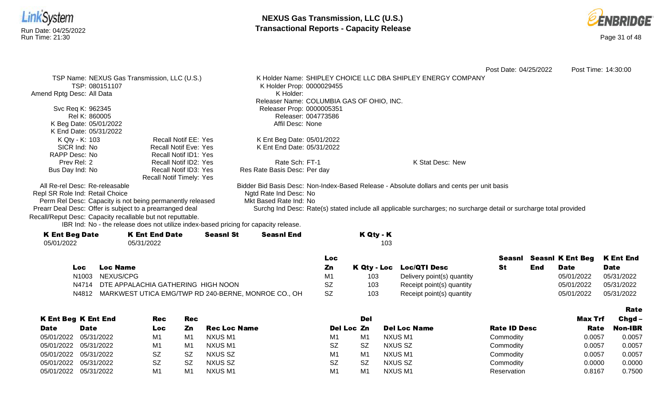

IBR Ind: No - the release does not utilize index-based pricing for capacity release.

| <b>K Ent Beg Date</b> | K Ent End Date | <b>Seasnl St</b> | <b>Seasnl End</b> | K Qty - K |
|-----------------------|----------------|------------------|-------------------|-----------|
| 05/01/2022            | 05/31/2022     |                  |                   | 103       |
|                       |                |                  |                   |           |

|     |                                                           | Loc       |     |                            |     | Seasni Seasni K Ent Beg K Ent End |             |
|-----|-----------------------------------------------------------|-----------|-----|----------------------------|-----|-----------------------------------|-------------|
| Loc | <b>Loc Name</b>                                           | Zn        |     | K Qty - Loc Loc/QTI Desc   | End | <b>Date</b>                       | <b>Date</b> |
|     | N1003 NEXUS/CPG                                           | M1        | 103 | Delivery point(s) quantity |     | 05/01/2022                        | 05/31/2022  |
|     | N4714 DTE APPALACHIA GATHERING HIGH NOON                  | SZ        | 103 | Receipt point(s) quantity  |     | 05/01/2022                        | 05/31/2022  |
|     | N4812 MARKWEST UTICA EMG/TWP RD 240-BERNE, MONROE CO., OH | <b>SZ</b> | 103 | Receipt point(s) quantity  |     | 05/01/2022                        | 05/31/2022  |

Rate

|                       | <b>K Ent Beg K Ent End</b> | Rec | Rec       |                     |                | Del            |                     |                     | <b>Max Trf</b> | $Chqd -$       |
|-----------------------|----------------------------|-----|-----------|---------------------|----------------|----------------|---------------------|---------------------|----------------|----------------|
| <b>Date</b>           | <b>Date</b>                | ⊥OC | Zn        | <b>Rec Loc Name</b> | Del Loc Zn     |                | <b>Del Loc Name</b> | <b>Rate ID Desc</b> | <b>Rate</b>    | <b>Non-IBR</b> |
| 05/01/2022            | 05/31/2022                 | M1  | M1        | NXUS M1             | M1             | M <sub>1</sub> | NXUS M1             | Commodity           | 0.0057         | 0.0057         |
| 05/01/2022 05/31/2022 |                            | M1  | M1        | NXUS M1             | <b>SZ</b>      | <b>SZ</b>      | NXUS SZ             | Commodity           | 0.0057         | 0.0057         |
| 05/01/2022 05/31/2022 |                            | SZ  | -SZ       | NXUS SZ             | M <sub>1</sub> | M <sub>1</sub> | NXUS M1             | Commodity           | 0.0057         | 0.0057         |
| 05/01/2022 05/31/2022 |                            | SZ  | <b>SZ</b> | NXUS SZ             | <b>SZ</b>      | <b>SZ</b>      | NXUS SZ             | Commodity           | 0.0000         | 0.0000         |
| 05/01/2022 05/31/2022 |                            | M1  |           | NXUS M1             | M <sub>1</sub> | M <sub>1</sub> | NXUS M1             | Reservation         | 0.8167         | 0.7500         |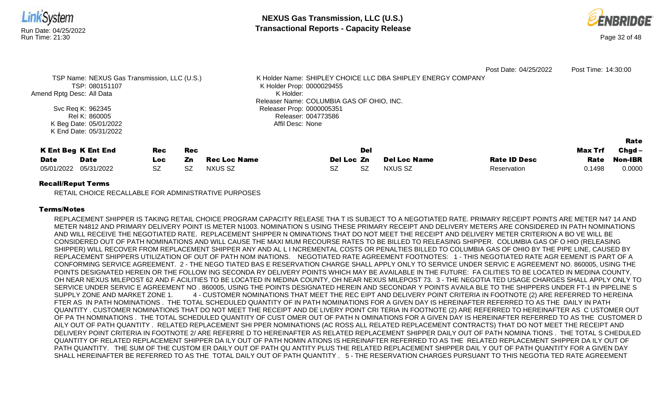| Run Date: 04/25/2022<br>Run Time: 21:30 |                                                  |           |            | <b>NEXUS Gas Transmission, LLC (U.S.)</b><br><b>Transactional Reports - Capacity Release</b> |                                           |                                                              |                     |                       |                     |                |
|-----------------------------------------|--------------------------------------------------|-----------|------------|----------------------------------------------------------------------------------------------|-------------------------------------------|--------------------------------------------------------------|---------------------|-----------------------|---------------------|----------------|
|                                         |                                                  |           |            |                                                                                              |                                           |                                                              |                     | Post Date: 04/25/2022 | Post Time: 14:30:00 |                |
|                                         | TSP Name: NEXUS Gas Transmission, LLC (U.S.)     |           |            |                                                                                              |                                           | K Holder Name: SHIPLEY CHOICE LLC DBA SHIPLEY ENERGY COMPANY |                     |                       |                     |                |
| Amend Rptg Desc: All Data               | TSP: 080151107                                   |           | K Holder:  | K Holder Prop: 0000029455                                                                    |                                           |                                                              |                     |                       |                     |                |
|                                         |                                                  |           |            |                                                                                              | Releaser Name: COLUMBIA GAS OF OHIO, INC. |                                                              |                     |                       |                     |                |
|                                         | Svc Req K: 962345                                |           |            |                                                                                              | Releaser Prop: 0000005351                 |                                                              |                     |                       |                     |                |
|                                         | Rel K: 860005                                    |           |            |                                                                                              | Releaser: 004773586                       |                                                              |                     |                       |                     |                |
|                                         | K Beg Date: 05/01/2022<br>K End Date: 05/31/2022 |           |            |                                                                                              | Affil Desc: None                          |                                                              |                     |                       |                     |                |
|                                         |                                                  |           |            |                                                                                              |                                           |                                                              |                     |                       |                     | Rate           |
|                                         | <b>K Ent Beg K Ent End</b>                       | Rec       | <b>Rec</b> |                                                                                              |                                           | Del                                                          |                     |                       | <b>Max Trf</b>      | $Chgd -$       |
| <b>Date</b>                             | <b>Date</b>                                      | Loc       | Zn         | <b>Rec Loc Name</b>                                                                          | Del Loc Zn                                |                                                              | <b>Del Loc Name</b> | <b>Rate ID Desc</b>   | Rate                | <b>Non-IBR</b> |
| 05/01/2022                              | 05/31/2022                                       | <b>SZ</b> | <b>SZ</b>  | NXUS SZ                                                                                      | <b>SZ</b>                                 | <b>SZ</b>                                                    | <b>NXUS SZ</b>      | Reservation           | 0.1498              | 0.0000         |
| <b>Recall/Reput Terms</b>               |                                                  |           |            |                                                                                              |                                           |                                                              |                     |                       |                     |                |

# Terms/Notes

RETAIL CHOICE RECALLABLE FOR ADMINISTRATIVE PURPOSES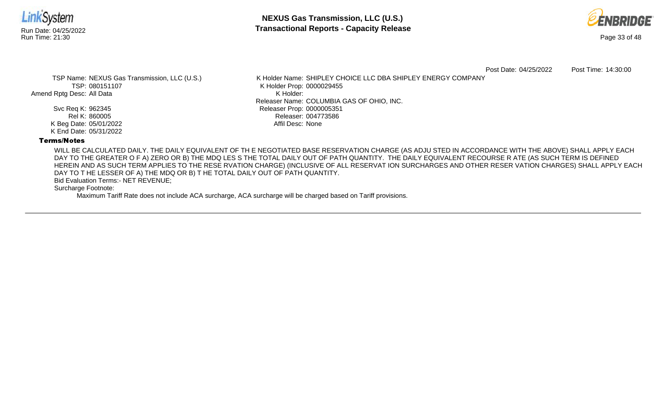



Post Date: 04/25/2022 Post Time: 14:30:00

TSP Name: NEXUS Gas Transmission, LLC (U.S.) TSP: 080151107 Amend Rptg Desc: All Data

> Svc Req K: 962345 Rel K: 860005 K Beg Date: 05/01/2022 K End Date: 05/31/2022

K Holder Name: SHIPLEY CHOICE LLC DBA SHIPLEY ENERGY COMPANY K Holder Prop: 0000029455 K Holder: Releaser Name: COLUMBIA GAS OF OHIO, INC. Releaser Prop: 0000005351 Releaser: 004773586 Affil Desc: None

# Terms/Notes

WILL BE CALCULATED DAILY. THE DAILY EQUIVALENT OF TH E NEGOTIATED BASE RESERVATION CHARGE (AS ADJU STED IN ACCORDANCE WITH THE ABOVE) SHALL APPLY EACH DAY TO THE GREATER O F A) ZERO OR B) THE MDQ LES S THE TOTAL DAILY OUT OF PATH QUANTITY. THE DAILY EQUIVALENT RECOURSE R ATE (AS SUCH TERM IS DEFINED HEREIN AND AS SUCH TERM APPLIES TO THE RESE RVATION CHARGE) (INCLUSIVE OF ALL RESERVAT ION SURCHARGES AND OTHER RESER VATION CHARGES) SHALL APPLY EACH DAY TO T HE LESSER OF A) THE MDQ OR B) T HE TOTAL DAILY OUT OF PATH QUANTITY.

Bid Evaluation Terms:- NET REVENUE;

Surcharge Footnote: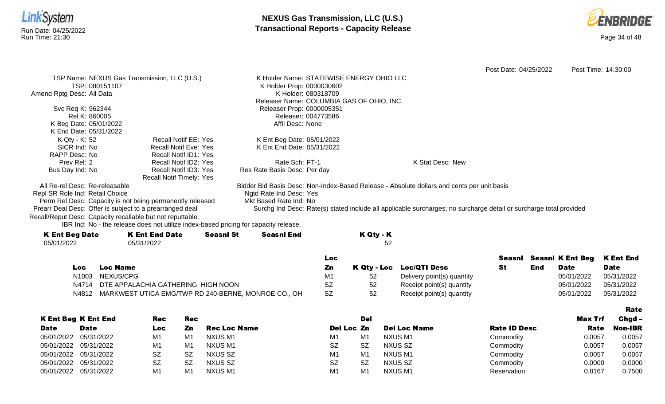



Rate

Post Date: 04/25/2022 Post Time: 14:30:00 TSP Name: NEXUS Gas Transmission, LLC (U.S.) TSP: 080151107 Amend Rptg Desc: All Data Svc Req K: 962344 Rel K: 860005 K Beg Date: 05/01/2022 K End Date: 05/31/2022 K Holder Name: STATEWISE ENERGY OHIO LLC K Holder Prop: 0000030602 K Holder: 080318709 Releaser Name: COLUMBIA GAS OF OHIO, INC. Releaser Prop: 0000005351 Releaser: 004773586 Affil Desc: None K Qty - K: 52 SICR Ind: No RAPP Desc: No Prev Rel: 2 Bus Day Ind: No Recall Notif EE: Yes Recall Notif Eve: Yes Recall Notif ID1: Yes Recall Notif ID2: Yes Recall Notif ID3: Yes Recall Notif Timely: Yes K Ent Beg Date: 05/01/2022 K Ent End Date: 05/31/2022 Rate Sch: FT-1 Res Rate Basis Desc: Per day K Stat Desc: New All Re-rel Desc: Re-releasable Repl SR Role Ind: Retail Choice Perm Rel Desc: Capacity is not being permanently released Prearr Deal Desc: Offer is subject to a prearranged deal Bidder Bid Basis Desc: Non-Index-Based Release - Absolute dollars and cents per unit basis Ngtd Rate Ind Desc: Yes Mkt Based Rate Ind: No Surchg Ind Desc: Rate(s) stated include all applicable surcharges; no surcharge detail or surcharge total provided Recall/Reput Desc: Capacity recallable but not reputtable.

IBR Ind: No - the release does not utilize index-based pricing for capacity release.

| <b>K Ent Beg Date</b> | <b>K Ent End Date</b> | Seasnl St | Seasnl End | K Qty - K |
|-----------------------|-----------------------|-----------|------------|-----------|
| 05/01/2022            | 05/31/2022            |           |            | -52       |
|                       |                       |           |            |           |

|     |                                                           | LOC. |    |                            |     | Seasni Seasni K Ent Beg K Ent End |             |
|-----|-----------------------------------------------------------|------|----|----------------------------|-----|-----------------------------------|-------------|
| Loc | <b>Loc Name</b>                                           | Ζn   |    | K Qty - Loc Loc/QTI Desc   | End | Date                              | <b>Date</b> |
|     | N1003 NEXUS/CPG                                           |      | 52 | Delivery point(s) quantity |     | 05/01/2022                        | 05/31/2022  |
|     | N4714 DTE APPALACHIA GATHERING HIGH NOON                  | SZ   | 52 | Receipt point(s) quantity  |     | 05/01/2022                        | 05/31/2022  |
|     | N4812 MARKWEST UTICA EMG/TWP RD 240-BERNE, MONROE CO., OH | SZ.  | 52 | Receipt point(s) quantity  |     | 05/01/2022                        | 05/31/2022  |

|             |                            |                |                |                     |                |           |                     |                     |         | --------       |
|-------------|----------------------------|----------------|----------------|---------------------|----------------|-----------|---------------------|---------------------|---------|----------------|
|             | <b>K Ent Beg K Ent End</b> | Rec            | <b>Rec</b>     |                     |                | Del       |                     |                     | Max Trf | $Chgd -$       |
| <b>Date</b> | <b>Date</b>                | Loc            | Zn             | <b>Rec Loc Name</b> | Del Loc Zn     |           | <b>Del Loc Name</b> | <b>Rate ID Desc</b> | Rate    | <b>Non-IBR</b> |
|             | 05/01/2022 05/31/2022      | M1             | M1             | NXUS M1             | M <sub>1</sub> | M1        | NXUS M1             | Commodity           | 0.0057  | 0.0057         |
|             | 05/01/2022 05/31/2022      | M1             | M <sub>1</sub> | NXUS M1             | <b>SZ</b>      | <b>SZ</b> | NXUS SZ             | Commodity           | 0.0057  | 0.0057         |
|             | 05/01/2022 05/31/2022      | SZ             | <b>SZ</b>      | NXUS SZ             | M1             | M1        | NXUS M1             | Commodity           | 0.0057  | 0.0057         |
|             | 05/01/2022 05/31/2022      | SZ             | <b>SZ</b>      | NXUS SZ             | <b>SZ</b>      | <b>SZ</b> | NXUS SZ             | Commodity           | 0.0000  | 0.0000         |
|             | 05/01/2022 05/31/2022      | M <sub>1</sub> | M <sub>1</sub> | NXUS M1             | M <sub>1</sub> | M1        | <b>NXUS M1</b>      | Reservation         | 0.8167  | 0.7500         |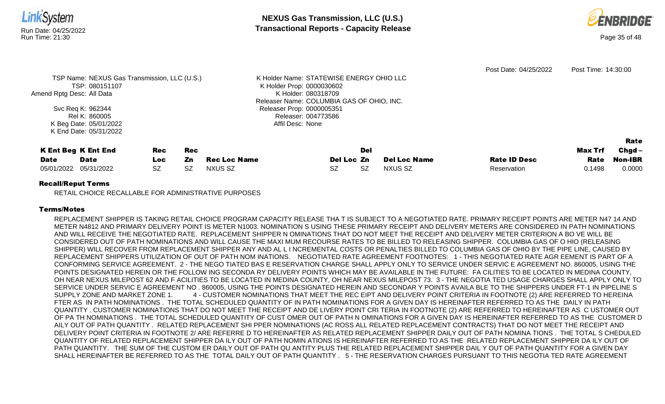



Post Date: 04/25/2022 Post Time: 14:30:00

|             |                                                                                             |                            |           |            |                                                                                              |                                           |     |                     | POSLUALE, 04/20/2022 | <b>POSL TIME. 14.30.00</b> |                |
|-------------|---------------------------------------------------------------------------------------------|----------------------------|-----------|------------|----------------------------------------------------------------------------------------------|-------------------------------------------|-----|---------------------|----------------------|----------------------------|----------------|
|             | TSP Name: NEXUS Gas Transmission, LLC (U.S.)<br>TSP: 080151107<br>Amend Rptg Desc: All Data |                            |           |            | K Holder Name: STATEWISE ENERGY OHIO LLC<br>K Holder Prop: 0000030602<br>K Holder: 080318709 |                                           |     |                     |                      |                            |                |
|             |                                                                                             |                            |           |            |                                                                                              | Releaser Name: COLUMBIA GAS OF OHIO, INC. |     |                     |                      |                            |                |
|             |                                                                                             | Svc Req K: 962344          |           |            |                                                                                              | Releaser Prop: 0000005351                 |     |                     |                      |                            |                |
|             |                                                                                             | Rel K: 860005              |           |            |                                                                                              | Releaser: 004773586                       |     |                     |                      |                            |                |
|             |                                                                                             | K Beg Date: 05/01/2022     |           |            |                                                                                              | Affil Desc: None                          |     |                     |                      |                            |                |
|             |                                                                                             | K End Date: 05/31/2022     |           |            |                                                                                              |                                           |     |                     |                      |                            |                |
|             |                                                                                             |                            |           |            |                                                                                              |                                           |     |                     |                      |                            | Rate           |
|             |                                                                                             | <b>K Ent Beg K Ent End</b> | Rec       | <b>Rec</b> |                                                                                              |                                           | Del |                     |                      | Max Trf                    | $Chgd -$       |
| <b>Date</b> |                                                                                             | <b>Date</b>                | Loc.      | Zn         | <b>Rec Loc Name</b>                                                                          | Del Loc Zn                                |     | <b>Del Loc Name</b> | <b>Rate ID Desc</b>  | Rate                       | <b>Non-IBR</b> |
|             |                                                                                             |                            |           |            |                                                                                              |                                           |     |                     |                      |                            | 0.0000         |
|             | 05/01/2022                                                                                  | 05/31/2022                 | <b>SZ</b> | SZ         | NXUS SZ                                                                                      | <b>SZ</b>                                 | SZ. | NXUS SZ             | Reservation          | 0.1498                     |                |

# Recall/Reput Terms

RETAIL CHOICE RECALLABLE FOR ADMINISTRATIVE PURPOSES

# Terms/Notes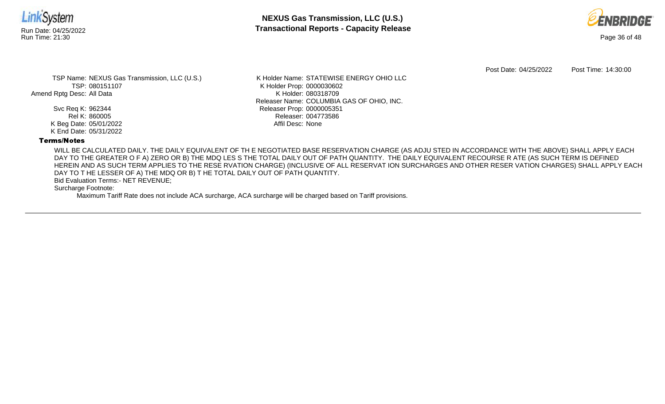



Post Date: 04/25/2022 Post Time: 14:30:00

TSP Name: NEXUS Gas Transmission, LLC (U.S.) TSP: 080151107 Amend Rptg Desc: All Data

> Svc Req K: 962344 Rel K: 860005 K Beg Date: 05/01/2022 K End Date: 05/31/2022

K Holder Name: STATEWISE ENERGY OHIO LLC K Holder Prop: 0000030602 K Holder: 080318709 Releaser Name: COLUMBIA GAS OF OHIO, INC. Releaser Prop: 0000005351 Releaser: 004773586 Affil Desc: None

# Terms/Notes

WILL BE CALCULATED DAILY. THE DAILY EQUIVALENT OF TH E NEGOTIATED BASE RESERVATION CHARGE (AS ADJU STED IN ACCORDANCE WITH THE ABOVE) SHALL APPLY EACH DAY TO THE GREATER O F A) ZERO OR B) THE MDQ LES S THE TOTAL DAILY OUT OF PATH QUANTITY. THE DAILY EQUIVALENT RECOURSE R ATE (AS SUCH TERM IS DEFINED HEREIN AND AS SUCH TERM APPLIES TO THE RESE RVATION CHARGE) (INCLUSIVE OF ALL RESERVAT ION SURCHARGES AND OTHER RESER VATION CHARGES) SHALL APPLY EACH DAY TO T HE LESSER OF A) THE MDQ OR B) T HE TOTAL DAILY OUT OF PATH QUANTITY.

Bid Evaluation Terms:- NET REVENUE;

Surcharge Footnote: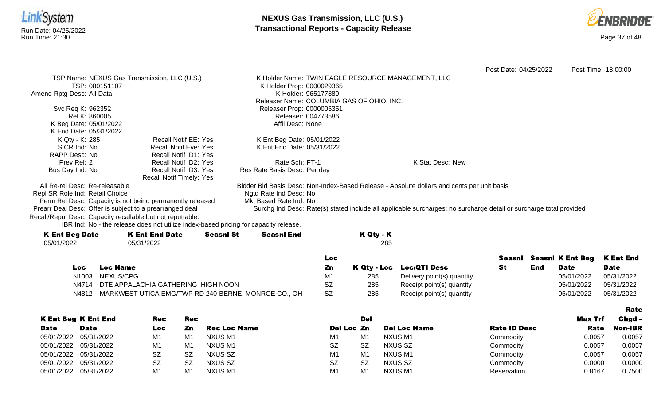



|                                 |                 |                                                                                      |                  |                              |                     |                                           |                                                                                                                    | Post Date: 04/25/2022 |     |                         | Post Time: 18:00:00 |
|---------------------------------|-----------------|--------------------------------------------------------------------------------------|------------------|------------------------------|---------------------|-------------------------------------------|--------------------------------------------------------------------------------------------------------------------|-----------------------|-----|-------------------------|---------------------|
|                                 |                 | TSP Name: NEXUS Gas Transmission, LLC (U.S.)                                         |                  |                              |                     |                                           | K Holder Name: TWIN EAGLE RESOURCE MANAGEMENT, LLC                                                                 |                       |     |                         |                     |
|                                 | TSP: 080151107  |                                                                                      |                  | K Holder Prop: 0000029365    |                     |                                           |                                                                                                                    |                       |     |                         |                     |
| Amend Rptg Desc: All Data       |                 |                                                                                      |                  |                              | K Holder: 965177889 |                                           |                                                                                                                    |                       |     |                         |                     |
|                                 |                 |                                                                                      |                  |                              |                     | Releaser Name: COLUMBIA GAS OF OHIO, INC. |                                                                                                                    |                       |     |                         |                     |
| Svc Req K: 962352               |                 |                                                                                      |                  | Releaser Prop: 0000005351    |                     |                                           |                                                                                                                    |                       |     |                         |                     |
|                                 | Rel K: 860005   |                                                                                      |                  |                              | Releaser: 004773586 |                                           |                                                                                                                    |                       |     |                         |                     |
| K Beg Date: 05/01/2022          |                 |                                                                                      |                  | Affil Desc: None             |                     |                                           |                                                                                                                    |                       |     |                         |                     |
| K End Date: 05/31/2022          |                 |                                                                                      |                  |                              |                     |                                           |                                                                                                                    |                       |     |                         |                     |
| K Qty - K: 285                  |                 | <b>Recall Notif EE: Yes</b>                                                          |                  | K Ent Beg Date: 05/01/2022   |                     |                                           |                                                                                                                    |                       |     |                         |                     |
| SICR Ind: No                    |                 | <b>Recall Notif Eve: Yes</b>                                                         |                  | K Ent End Date: 05/31/2022   |                     |                                           |                                                                                                                    |                       |     |                         |                     |
| RAPP Desc: No                   |                 | Recall Notif ID1: Yes                                                                |                  |                              |                     |                                           |                                                                                                                    |                       |     |                         |                     |
| Prev Rel: 2                     |                 | Recall Notif ID2: Yes                                                                |                  | Rate Sch: FT-1               |                     |                                           | K Stat Desc: New                                                                                                   |                       |     |                         |                     |
| Bus Day Ind: No                 |                 | Recall Notif ID3: Yes                                                                |                  | Res Rate Basis Desc: Per day |                     |                                           |                                                                                                                    |                       |     |                         |                     |
|                                 |                 | Recall Notif Timely: Yes                                                             |                  |                              |                     |                                           |                                                                                                                    |                       |     |                         |                     |
| All Re-rel Desc: Re-releasable  |                 |                                                                                      |                  |                              |                     |                                           | Bidder Bid Basis Desc: Non-Index-Based Release - Absolute dollars and cents per unit basis                         |                       |     |                         |                     |
| Repl SR Role Ind: Retail Choice |                 |                                                                                      |                  | Ngtd Rate Ind Desc: No       |                     |                                           |                                                                                                                    |                       |     |                         |                     |
|                                 |                 | Perm Rel Desc: Capacity is not being permanently released                            |                  | Mkt Based Rate Ind: No       |                     |                                           |                                                                                                                    |                       |     |                         |                     |
|                                 |                 | Prearr Deal Desc: Offer is subject to a prearranged deal                             |                  |                              |                     |                                           | Surchg Ind Desc: Rate(s) stated include all applicable surcharges; no surcharge detail or surcharge total provided |                       |     |                         |                     |
|                                 |                 | Recall/Reput Desc: Capacity recallable but not reputtable.                           |                  |                              |                     |                                           |                                                                                                                    |                       |     |                         |                     |
|                                 |                 | IBR Ind: No - the release does not utilize index-based pricing for capacity release. |                  |                              |                     |                                           |                                                                                                                    |                       |     |                         |                     |
| <b>K Ent Beg Date</b>           |                 | <b>K Ent End Date</b>                                                                | <b>Seasnl St</b> | <b>Seasnl End</b>            |                     | K Qty - K                                 |                                                                                                                    |                       |     |                         |                     |
| 05/01/2022                      |                 | 05/31/2022                                                                           |                  |                              |                     | 285                                       |                                                                                                                    |                       |     |                         |                     |
|                                 |                 |                                                                                      |                  |                              |                     |                                           |                                                                                                                    |                       |     |                         |                     |
|                                 |                 |                                                                                      |                  |                              | <b>Loc</b>          |                                           |                                                                                                                    | Seasnl                |     | <b>Seasnl K Ent Beg</b> | <b>K Ent End</b>    |
| Loc                             | <b>Loc Name</b> |                                                                                      |                  |                              | Zn                  |                                           | K Qty - Loc Loc/QTI Desc                                                                                           | St                    | End | <b>Date</b>             | <b>Date</b>         |

| Loc   | Loc Name                                            | Zn |     | K Qty - Loc Loc/QTI Desc   | End | <b>Date</b> | <b>Date</b> |
|-------|-----------------------------------------------------|----|-----|----------------------------|-----|-------------|-------------|
| N1003 | NEXUS/CPG                                           | M1 | 285 | Delivery point(s) quantity |     | 05/01/2022  | 05/31/2022  |
|       | N4714 DTE APPALACHIA GATHERING HIGH NOON            | SZ | 285 | Receipt point(s) quantity  |     | 05/01/2022  | 05/31/2022  |
| N4812 | MARKWEST UTICA EMG/TWP RD 240-BERNE, MONROE CO., OH |    | 285 | Receipt point(s) quantity  |     | 05/01/2022  | 05/31/2022  |

|             |                            |            |     |              |                |           |                     |                     |         | Rate           |
|-------------|----------------------------|------------|-----|--------------|----------------|-----------|---------------------|---------------------|---------|----------------|
|             | <b>K Ent Beg K Ent End</b> | <b>Rec</b> | Rec |              |                | Del       |                     |                     | Max Trf | $Chgd -$       |
| <b>Date</b> | <b>Date</b>                | Loc.       | Zn  | Rec Loc Name | Del Loc Zn     |           | <b>Del Loc Name</b> | <b>Rate ID Desc</b> | Rate    | <b>Non-IBR</b> |
| 05/01/2022  | 05/31/2022                 | M1         | M1  | NXUS M1      | M <sub>1</sub> | M1        | NXUS M1             | Commodity           | 0.0057  | 0.0057         |
|             | 05/01/2022 05/31/2022      | M1         | M1  | NXUS M1      | <b>SZ</b>      | <b>SZ</b> | NXUS SZ             | Commodity           | 0.0057  | 0.0057         |
|             | 05/01/2022 05/31/2022      | <b>SZ</b>  | SZ  | NXUS SZ      | M <sub>1</sub> | M1        | NXUS M1             | Commodity           | 0.0057  | 0.0057         |
|             | 05/01/2022 05/31/2022      | <b>SZ</b>  | SZ  | NXUS SZ      | <b>SZ</b>      | <b>SZ</b> | NXUS SZ             | Commodity           | 0.0000  | 0.0000         |
|             | 05/01/2022 05/31/2022      | M1         | M1  | NXUS M1      | M <sub>1</sub> | M1        | NXUS M1             | Reservation         | 0.8167  | 0.7500         |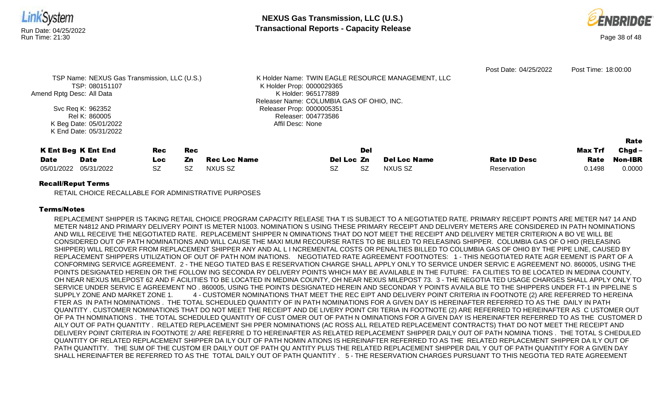

RETAIL CHOICE RECALLABLE FOR ADMINISTRATIVE PURPOSES

# Terms/Notes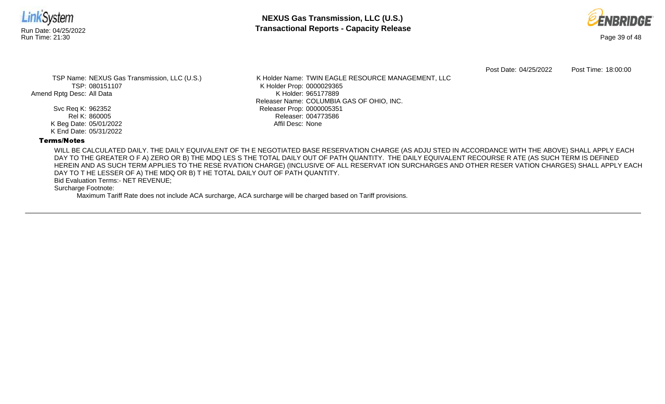



Post Date: 04/25/2022 Post Time: 18:00:00

TSP Name: NEXUS Gas Transmission, LLC (U.S.) TSP: 080151107 Amend Rptg Desc: All Data

> Svc Req K: 962352 Rel K: 860005 K Beg Date: 05/01/2022 K End Date: 05/31/2022

K Holder Name: TWIN EAGLE RESOURCE MANAGEMENT, LLC K Holder Prop: 0000029365 K Holder: 965177889 Releaser Name: COLUMBIA GAS OF OHIO, INC. Releaser Prop: 0000005351 Releaser: 004773586 Affil Desc: None

# Terms/Notes

WILL BE CALCULATED DAILY. THE DAILY EQUIVALENT OF TH E NEGOTIATED BASE RESERVATION CHARGE (AS ADJU STED IN ACCORDANCE WITH THE ABOVE) SHALL APPLY EACH DAY TO THE GREATER O F A) ZERO OR B) THE MDQ LES S THE TOTAL DAILY OUT OF PATH QUANTITY. THE DAILY EQUIVALENT RECOURSE R ATE (AS SUCH TERM IS DEFINED HEREIN AND AS SUCH TERM APPLIES TO THE RESE RVATION CHARGE) (INCLUSIVE OF ALL RESERVAT ION SURCHARGES AND OTHER RESER VATION CHARGES) SHALL APPLY EACH DAY TO T HE LESSER OF A) THE MDQ OR B) T HE TOTAL DAILY OUT OF PATH QUANTITY.

Bid Evaluation Terms:- NET REVENUE;

Surcharge Footnote: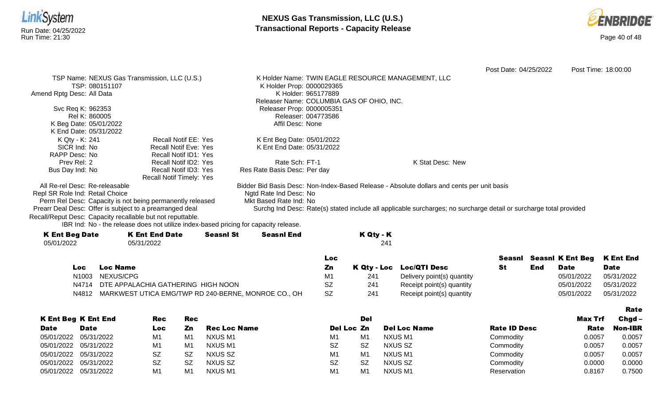



| <b>K</b> Ent Beg Date                                      | <b>K Ent End Date</b><br><b>Seasnl St</b>                                            | <b>Seasnl End</b>            | K Qty - K                                                                                                          |                       |                     |
|------------------------------------------------------------|--------------------------------------------------------------------------------------|------------------------------|--------------------------------------------------------------------------------------------------------------------|-----------------------|---------------------|
| Recall/Reput Desc: Capacity recallable but not reputtable. | IBR Ind: No - the release does not utilize index-based pricing for capacity release. |                              |                                                                                                                    |                       |                     |
|                                                            |                                                                                      |                              |                                                                                                                    |                       |                     |
| Prearr Deal Desc: Offer is subject to a prearranged deal   |                                                                                      |                              | Surchg Ind Desc: Rate(s) stated include all applicable surcharges; no surcharge detail or surcharge total provided |                       |                     |
|                                                            | Perm Rel Desc: Capacity is not being permanently released                            | Mkt Based Rate Ind: No       |                                                                                                                    |                       |                     |
| Repl SR Role Ind: Retail Choice                            |                                                                                      | Ngtd Rate Ind Desc: No       |                                                                                                                    |                       |                     |
| All Re-rel Desc: Re-releasable                             |                                                                                      |                              | Bidder Bid Basis Desc: Non-Index-Based Release - Absolute dollars and cents per unit basis                         |                       |                     |
|                                                            | Recall Notif Timely: Yes                                                             |                              |                                                                                                                    |                       |                     |
| Bus Day Ind: No                                            | Recall Notif ID3: Yes                                                                | Res Rate Basis Desc: Per day |                                                                                                                    |                       |                     |
| Prev Rel: 2                                                | Recall Notif ID2: Yes                                                                | Rate Sch: FT-1               | K Stat Desc: New                                                                                                   |                       |                     |
| RAPP Desc: No                                              | Recall Notif ID1: Yes                                                                |                              |                                                                                                                    |                       |                     |
| SICR Ind: No                                               | <b>Recall Notif Eve: Yes</b>                                                         | K Ent End Date: 05/31/2022   |                                                                                                                    |                       |                     |
| K Qty - K: 241                                             | Recall Notif EE: Yes                                                                 | K Ent Beg Date: 05/01/2022   |                                                                                                                    |                       |                     |
| K End Date: 05/31/2022                                     |                                                                                      |                              |                                                                                                                    |                       |                     |
| K Beg Date: 05/01/2022                                     |                                                                                      | Affil Desc: None             |                                                                                                                    |                       |                     |
| Rel K: 860005                                              |                                                                                      | Releaser: 004773586          |                                                                                                                    |                       |                     |
| Svc Req K: 962353                                          |                                                                                      | Releaser Prop: 0000005351    |                                                                                                                    |                       |                     |
|                                                            |                                                                                      |                              | Releaser Name: COLUMBIA GAS OF OHIO, INC.                                                                          |                       |                     |
| Amend Rptg Desc: All Data                                  |                                                                                      | K Holder: 965177889          |                                                                                                                    |                       |                     |
| TSP: 080151107                                             |                                                                                      | K Holder Prop: 0000029365    |                                                                                                                    |                       |                     |
|                                                            | TSP Name: NEXUS Gas Transmission, LLC (U.S.)                                         |                              | K Holder Name: TWIN EAGLE RESOURCE MANAGEMENT, LLC                                                                 |                       |                     |
|                                                            |                                                                                      |                              |                                                                                                                    | Post Date: 04/25/2022 | Post Time: 18:00:00 |

| 05/01/2022 | 05/31/2022 | 241 |
|------------|------------|-----|
|            |            |     |

|            |                                                           | LOC       |     |                            |     | Seasni Seasni K Ent Beg K Ent End |             |
|------------|-----------------------------------------------------------|-----------|-----|----------------------------|-----|-----------------------------------|-------------|
| <b>Loc</b> | <b>Loc Name</b>                                           | Zn        |     | K Qty - Loc Loc/QTI Desc   | End | Date                              | <b>Date</b> |
|            | N1003 NEXUS/CPG                                           |           | 241 | Delivery point(s) quantity |     | 05/01/2022                        | 05/31/2022  |
|            | N4714 DTE APPALACHIA GATHERING HIGH NOON                  | SZ        | 241 | Receipt point(s) quantity  |     | 05/01/2022                        | 05/31/2022  |
|            | N4812 MARKWEST UTICA EMG/TWP RD 240-BERNE, MONROE CO., OH | <b>SZ</b> | 241 | Receipt point(s) quantity  |     | 05/01/2022                        | 05/31/2022  |

|             |                            |            |           |                     |                |                |                     |                     |         | Rate           |
|-------------|----------------------------|------------|-----------|---------------------|----------------|----------------|---------------------|---------------------|---------|----------------|
|             | <b>K Ent Beg K Ent End</b> | <b>Rec</b> | Rec       |                     |                | Del            |                     |                     | Max Trf | $Chgd -$       |
| <b>Date</b> | <b>Date</b>                | Loc        | Zn        | <b>Rec Loc Name</b> | Del Loc Zn     |                | <b>Del Loc Name</b> | <b>Rate ID Desc</b> | Rate    | <b>Non-IBR</b> |
|             | 05/01/2022 05/31/2022      | M1         | M1        | NXUS M1             | M <sub>1</sub> | M <sub>1</sub> | NXUS M1             | Commodity           | 0.0057  | 0.0057         |
|             | 05/01/2022 05/31/2022      | M1         | M1        | NXUS M1             | <b>SZ</b>      | <b>SZ</b>      | NXUS SZ             | Commodity           | 0.0057  | 0.0057         |
|             | 05/01/2022 05/31/2022      | <b>SZ</b>  | <b>SZ</b> | NXUS SZ             | M <sub>1</sub> | M <sub>1</sub> | NXUS M1             | Commodity           | 0.0057  | 0.0057         |
|             | 05/01/2022 05/31/2022      | <b>SZ</b>  | SZ        | NXUS SZ             | <b>SZ</b>      | <b>SZ</b>      | NXUS SZ             | Commodity           | 0.0000  | 0.0000         |
| 05/01/2022  | 05/31/2022                 | M1         | M1        | NXUS M1             | M1             | M1             | <b>NXUS M1</b>      | Reservation         | 0.8167  | 0.7500         |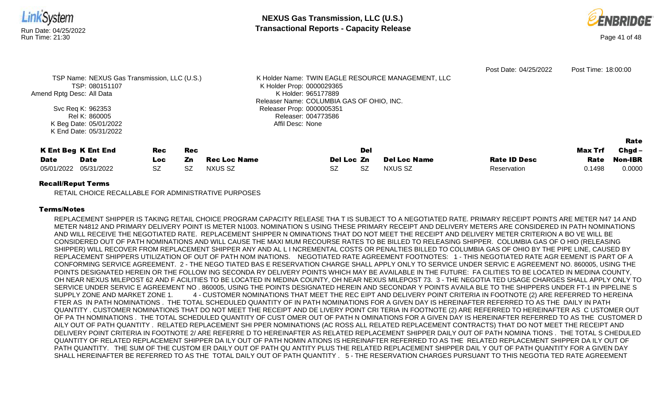

RETAIL CHOICE RECALLABLE FOR ADMINISTRATIVE PURPOSES

# Terms/Notes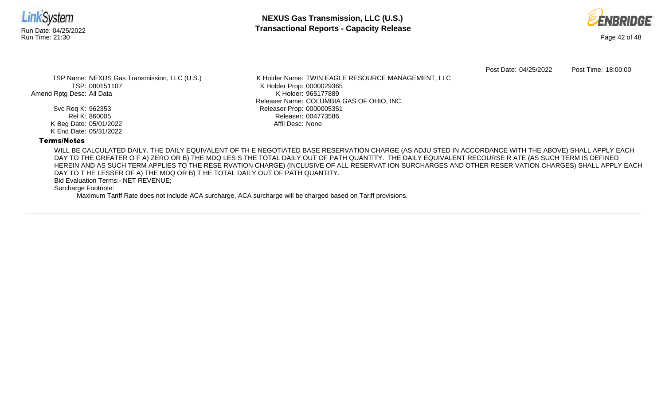



Post Date: 04/25/2022 Post Time: 18:00:00

TSP Name: NEXUS Gas Transmission, LLC (U.S.) TSP: 080151107 Amend Rptg Desc: All Data

> Svc Req K: 962353 Rel K: 860005 K Beg Date: 05/01/2022 K End Date: 05/31/2022

K Holder Name: TWIN EAGLE RESOURCE MANAGEMENT, LLC K Holder Prop: 0000029365 K Holder: 965177889 Releaser Name: COLUMBIA GAS OF OHIO, INC. Releaser Prop: 0000005351 Releaser: 004773586 Affil Desc: None

# Terms/Notes

WILL BE CALCULATED DAILY. THE DAILY EQUIVALENT OF TH E NEGOTIATED BASE RESERVATION CHARGE (AS ADJU STED IN ACCORDANCE WITH THE ABOVE) SHALL APPLY EACH DAY TO THE GREATER O F A) ZERO OR B) THE MDQ LES S THE TOTAL DAILY OUT OF PATH QUANTITY. THE DAILY EQUIVALENT RECOURSE R ATE (AS SUCH TERM IS DEFINED HEREIN AND AS SUCH TERM APPLIES TO THE RESE RVATION CHARGE) (INCLUSIVE OF ALL RESERVAT ION SURCHARGES AND OTHER RESER VATION CHARGES) SHALL APPLY EACH DAY TO T HE LESSER OF A) THE MDQ OR B) T HE TOTAL DAILY OUT OF PATH QUANTITY.

Bid Evaluation Terms:- NET REVENUE;

Surcharge Footnote: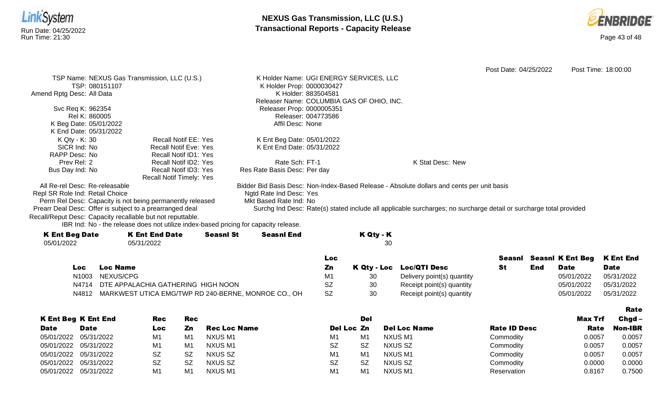



|                                                            |                                                                                            |                                           | Post Date: 04/25/2022                                                                                              | Post Time: 18:00:00 |
|------------------------------------------------------------|--------------------------------------------------------------------------------------------|-------------------------------------------|--------------------------------------------------------------------------------------------------------------------|---------------------|
|                                                            | TSP Name: NEXUS Gas Transmission, LLC (U.S.)                                               | K Holder Name: UGI ENERGY SERVICES, LLC   |                                                                                                                    |                     |
| TSP: 080151107                                             |                                                                                            | K Holder Prop: 0000030427                 |                                                                                                                    |                     |
| Amend Rptg Desc: All Data                                  |                                                                                            | K Holder: 883504581                       |                                                                                                                    |                     |
|                                                            |                                                                                            | Releaser Name: COLUMBIA GAS OF OHIO, INC. |                                                                                                                    |                     |
| Svc Req K: 962354                                          |                                                                                            | Releaser Prop: 0000005351                 |                                                                                                                    |                     |
| Rel K: 860005                                              |                                                                                            | Releaser: 004773586                       |                                                                                                                    |                     |
| K Beg Date: 05/01/2022                                     |                                                                                            | Affil Desc: None                          |                                                                                                                    |                     |
| K End Date: 05/31/2022                                     |                                                                                            |                                           |                                                                                                                    |                     |
| K Qty - K: 30                                              | Recall Notif EE: Yes                                                                       | K Ent Beg Date: 05/01/2022                |                                                                                                                    |                     |
| SICR Ind: No                                               | Recall Notif Eve: Yes                                                                      | K Ent End Date: 05/31/2022                |                                                                                                                    |                     |
| RAPP Desc: No                                              | Recall Notif ID1: Yes                                                                      |                                           |                                                                                                                    |                     |
| Prev Rel: 2                                                | Recall Notif ID2: Yes                                                                      | Rate Sch: FT-1                            | K Stat Desc: New                                                                                                   |                     |
| Bus Day Ind: No                                            | Recall Notif ID3: Yes                                                                      | Res Rate Basis Desc: Per day              |                                                                                                                    |                     |
|                                                            | <b>Recall Notif Timely: Yes</b>                                                            |                                           |                                                                                                                    |                     |
| All Re-rel Desc: Re-releasable                             |                                                                                            |                                           | Bidder Bid Basis Desc: Non-Index-Based Release - Absolute dollars and cents per unit basis                         |                     |
| Repl SR Role Ind: Retail Choice                            |                                                                                            | Ngtd Rate Ind Desc: Yes                   |                                                                                                                    |                     |
|                                                            | Perm Rel Desc: Capacity is not being permanently released                                  | Mkt Based Rate Ind: No                    |                                                                                                                    |                     |
| Prearr Deal Desc: Offer is subject to a prearranged deal   |                                                                                            |                                           | Surchg Ind Desc: Rate(s) stated include all applicable surcharges; no surcharge detail or surcharge total provided |                     |
| Recall/Reput Desc: Capacity recallable but not reputtable. |                                                                                            |                                           |                                                                                                                    |                     |
|                                                            | IBR Ind: No - the release does not utilize index-based pricing for capacity release.       |                                           |                                                                                                                    |                     |
|                                                            | $\mathbf{u} = \mathbf{u} + \mathbf{u} + \mathbf{u}$ . The set of $\mathbf{u} = \mathbf{u}$ |                                           | <i><b>II A</b>l</i> I <i>I</i>                                                                                     |                     |

| <b>K Ent Beg Date</b> | <b>K Ent End Date</b> | <b>Seasnl St</b> | <b>Seasnl End</b> | K Qty - K     |  |
|-----------------------|-----------------------|------------------|-------------------|---------------|--|
| 05/01/2022            | 05/31/2022            |                  |                   | 30            |  |
|                       |                       |                  |                   | $\sim$ $\sim$ |  |

|       |                                                     | <b>Loc</b> |    |                            |     | Seasni Seasni K Ent Beg K Ent End |             |
|-------|-----------------------------------------------------|------------|----|----------------------------|-----|-----------------------------------|-------------|
| Loc   | <b>Loc Name</b>                                     | Zn         |    | K Qty - Loc Loc/QTI Desc   | End | Date                              | <b>Date</b> |
| N1003 | NEXUS/CPG                                           |            | 30 | Delivery point(s) quantity |     | 05/01/2022                        | 05/31/2022  |
|       | N4714 DTE APPALACHIA GATHERING HIGH NOON            |            | 30 | Receipt point(s) quantity  |     | 05/01/2022                        | 05/31/2022  |
| N4812 | MARKWEST UTICA EMG/TWP RD 240-BERNE, MONROE CO., OH |            | 30 | Receipt point(s) quantity  |     | 05/01/2022                        | 05/31/2022  |

|             |                            |           |            |                     |                |           |                     |                     |         | Rate           |
|-------------|----------------------------|-----------|------------|---------------------|----------------|-----------|---------------------|---------------------|---------|----------------|
|             | <b>K Ent Beg K Ent End</b> | Rec       | <b>Rec</b> |                     |                | Del       |                     |                     | Max Trf | $Chqd -$       |
| <b>Date</b> | <b>Date</b>                | Loc.      | Zn         | <b>Rec Loc Name</b> | Del Loc Zn     |           | <b>Del Loc Name</b> | <b>Rate ID Desc</b> | Rate    | <b>Non-IBR</b> |
|             | 05/01/2022 05/31/2022      | M1        | M1         | NXUS M1             | M <sub>1</sub> | M1        | NXUS M1             | Commodity           | 0.0057  | 0.0057         |
|             | 05/01/2022 05/31/2022      | M1        | M1         | NXUS M1             | <b>SZ</b>      | <b>SZ</b> | NXUS SZ             | Commodity           | 0.0057  | 0.0057         |
|             | 05/01/2022 05/31/2022      | <b>SZ</b> | <b>SZ</b>  | NXUS SZ             | M1             | M1        | NXUS M1             | Commodity           | 0.0057  | 0.0057         |
|             | 05/01/2022 05/31/2022      | <b>SZ</b> | <b>SZ</b>  | NXUS SZ             | <b>SZ</b>      | <b>SZ</b> | NXUS SZ             | Commodity           | 0.0000  | 0.0000         |
|             | 05/01/2022 05/31/2022      | M1        | M1         | NXUS M1             | M <sub>1</sub> | M1        | NXUS M1             | Reservation         | 0.8167  | 0.7500         |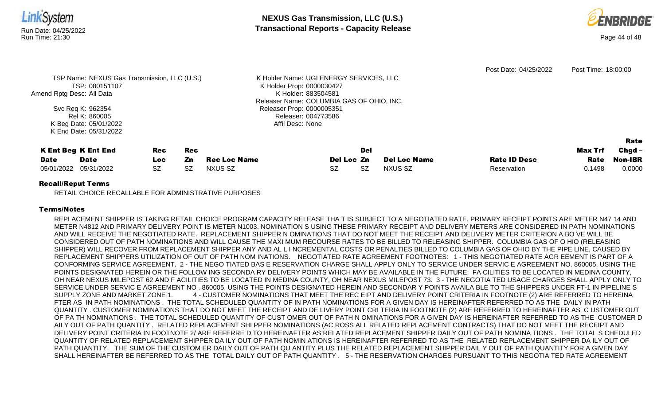



|                           |                                              |           |            |                     |                                           |           |                     | Post Date: 04/25/2022 | Post Time: 18:00:00 |          |
|---------------------------|----------------------------------------------|-----------|------------|---------------------|-------------------------------------------|-----------|---------------------|-----------------------|---------------------|----------|
|                           | TSP Name: NEXUS Gas Transmission, LLC (U.S.) |           |            |                     | K Holder Name: UGI ENERGY SERVICES, LLC   |           |                     |                       |                     |          |
|                           | TSP: 080151107                               |           |            |                     | K Holder Prop: 0000030427                 |           |                     |                       |                     |          |
| Amend Rptg Desc: All Data |                                              |           |            |                     | K Holder: 883504581                       |           |                     |                       |                     |          |
|                           |                                              |           |            |                     | Releaser Name: COLUMBIA GAS OF OHIO, INC. |           |                     |                       |                     |          |
|                           | Svc Req K: 962354                            |           |            |                     | Releaser Prop: 0000005351                 |           |                     |                       |                     |          |
|                           | Rel K: 860005                                |           |            |                     | Releaser: 004773586                       |           |                     |                       |                     |          |
|                           | K Beg Date: 05/01/2022                       |           |            |                     | Affil Desc: None                          |           |                     |                       |                     |          |
|                           | K End Date: 05/31/2022                       |           |            |                     |                                           |           |                     |                       |                     |          |
|                           |                                              |           |            |                     |                                           |           |                     |                       |                     | Rate     |
|                           | <b>K Ent Beg K Ent End</b>                   | Rec       | <b>Rec</b> |                     |                                           | Del       |                     |                       | Max Trf             | $Chgd -$ |
| <b>Date</b>               | <b>Date</b>                                  | Loc.      | Zn         | <b>Rec Loc Name</b> | Del Loc Zn                                |           | <b>Del Loc Name</b> | <b>Rate ID Desc</b>   | Rate                | Non-IBR  |
| 05/01/2022                | 05/31/2022                                   | <b>SZ</b> | <b>SZ</b>  | NXUS SZ             | <b>SZ</b>                                 | <b>SZ</b> | NXUS SZ             | Reservation           | 0.1498              | 0.0000   |
|                           |                                              |           |            |                     |                                           |           |                     |                       |                     |          |

RETAIL CHOICE RECALLABLE FOR ADMINISTRATIVE PURPOSES

# Terms/Notes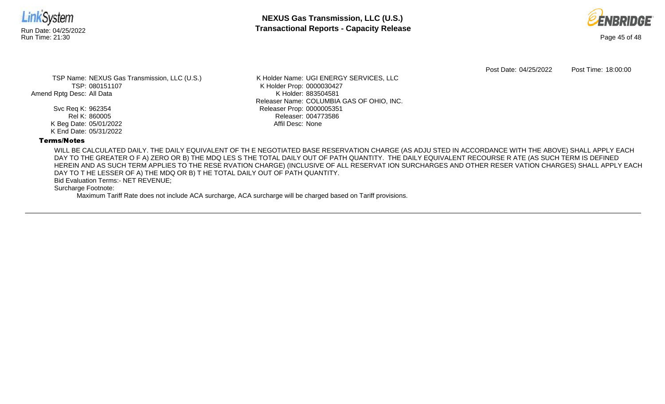



Post Date: 04/25/2022 Post Time: 18:00:00

TSP Name: NEXUS Gas Transmission, LLC (U.S.) TSP: 080151107 Amend Rptg Desc: All Data

> Svc Req K: 962354 Rel K: 860005 K Beg Date: 05/01/2022 K End Date: 05/31/2022

K Holder Name: UGI ENERGY SERVICES, LLC K Holder Prop: 0000030427 K Holder: 883504581 Releaser Name: COLUMBIA GAS OF OHIO, INC. Releaser Prop: 0000005351 Releaser: 004773586 Affil Desc: None

# Terms/Notes

WILL BE CALCULATED DAILY. THE DAILY EQUIVALENT OF TH E NEGOTIATED BASE RESERVATION CHARGE (AS ADJU STED IN ACCORDANCE WITH THE ABOVE) SHALL APPLY EACH DAY TO THE GREATER O F A) ZERO OR B) THE MDQ LES S THE TOTAL DAILY OUT OF PATH QUANTITY. THE DAILY EQUIVALENT RECOURSE R ATE (AS SUCH TERM IS DEFINED HEREIN AND AS SUCH TERM APPLIES TO THE RESE RVATION CHARGE) (INCLUSIVE OF ALL RESERVAT ION SURCHARGES AND OTHER RESER VATION CHARGES) SHALL APPLY EACH DAY TO T HE LESSER OF A) THE MDQ OR B) T HE TOTAL DAILY OUT OF PATH QUANTITY.

Bid Evaluation Terms:- NET REVENUE;

Surcharge Footnote: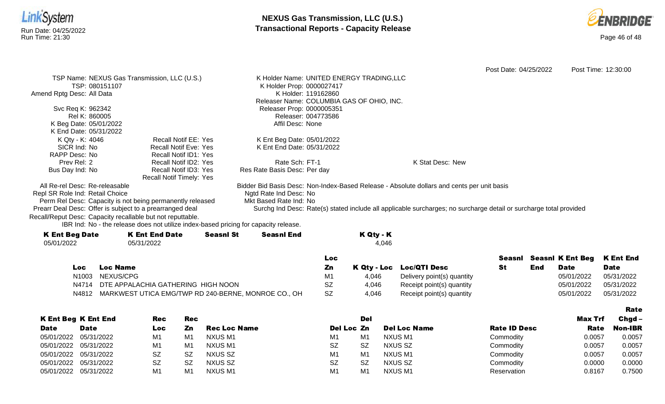



|                                                            |                                                                                      |                                           |                                                                                                                    | Post Date: 04/25/2022 | Post Time: 12:30:00 |
|------------------------------------------------------------|--------------------------------------------------------------------------------------|-------------------------------------------|--------------------------------------------------------------------------------------------------------------------|-----------------------|---------------------|
|                                                            | TSP Name: NEXUS Gas Transmission, LLC (U.S.)                                         | K Holder Name: UNITED ENERGY TRADING, LLC |                                                                                                                    |                       |                     |
| TSP: 080151107                                             |                                                                                      | K Holder Prop: 0000027417                 |                                                                                                                    |                       |                     |
| Amend Rptg Desc: All Data                                  |                                                                                      | K Holder: 119162860                       |                                                                                                                    |                       |                     |
|                                                            |                                                                                      | Releaser Name: COLUMBIA GAS OF OHIO, INC. |                                                                                                                    |                       |                     |
| Svc Req K: 962342                                          |                                                                                      | Releaser Prop: 0000005351                 |                                                                                                                    |                       |                     |
| Rel K: 860005                                              |                                                                                      | Releaser: 004773586                       |                                                                                                                    |                       |                     |
| K Beg Date: 05/01/2022                                     |                                                                                      | Affil Desc: None                          |                                                                                                                    |                       |                     |
| K End Date: 05/31/2022                                     |                                                                                      |                                           |                                                                                                                    |                       |                     |
| K Qty - K: 4046                                            | Recall Notif EE: Yes                                                                 | K Ent Beg Date: 05/01/2022                |                                                                                                                    |                       |                     |
| SICR Ind: No                                               | <b>Recall Notif Eve: Yes</b>                                                         | K Ent End Date: 05/31/2022                |                                                                                                                    |                       |                     |
| RAPP Desc: No                                              | Recall Notif ID1: Yes                                                                |                                           |                                                                                                                    |                       |                     |
| Prev Rel: 2                                                | Recall Notif ID2: Yes                                                                | Rate Sch: FT-1                            | K Stat Desc: New                                                                                                   |                       |                     |
| Bus Day Ind: No                                            | Recall Notif ID3: Yes                                                                | Res Rate Basis Desc: Per day              |                                                                                                                    |                       |                     |
|                                                            | <b>Recall Notif Timely: Yes</b>                                                      |                                           |                                                                                                                    |                       |                     |
| All Re-rel Desc: Re-releasable                             |                                                                                      |                                           | Bidder Bid Basis Desc: Non-Index-Based Release - Absolute dollars and cents per unit basis                         |                       |                     |
| Repl SR Role Ind: Retail Choice                            |                                                                                      | Ngtd Rate Ind Desc: No                    |                                                                                                                    |                       |                     |
|                                                            | Perm Rel Desc: Capacity is not being permanently released                            | Mkt Based Rate Ind: No                    |                                                                                                                    |                       |                     |
| Prearr Deal Desc: Offer is subject to a prearranged deal   |                                                                                      |                                           | Surchg Ind Desc: Rate(s) stated include all applicable surcharges; no surcharge detail or surcharge total provided |                       |                     |
| Recall/Reput Desc: Capacity recallable but not reputtable. |                                                                                      |                                           |                                                                                                                    |                       |                     |
|                                                            | IBR Ind: No - the release does not utilize index-based pricing for capacity release. |                                           |                                                                                                                    |                       |                     |

| <b>K Ent Beg Date</b> | <b>K Ent End Date</b> | <b>Seasnl St</b> | <b>Seasnl End</b> | K Qty - K |
|-----------------------|-----------------------|------------------|-------------------|-----------|
| 05/01/2022            | 05/31/2022            |                  |                   | 4.046     |
|                       |                       |                  |                   |           |

|     |                                                           | Loc.      |       |                            |     | Seasni Seasni K Ent Beg K Ent End |             |
|-----|-----------------------------------------------------------|-----------|-------|----------------------------|-----|-----------------------------------|-------------|
| Loc | <b>Loc Name</b>                                           | Zn        |       | K Qty - Loc Loc/QTI Desc   | End | Date                              | <b>Date</b> |
|     | N1003 NEXUS/CPG                                           | M1        | 4.046 | Delivery point(s) quantity |     | 05/01/2022                        | 05/31/2022  |
|     | N4714 DTE APPALACHIA GATHERING HIGH NOON                  | SZ        | 4,046 | Receipt point(s) quantity  |     | 05/01/2022                        | 05/31/2022  |
|     | N4812 MARKWEST UTICA EMG/TWP RD 240-BERNE, MONROE CO., OH | <b>SZ</b> | 4.046 | Receipt point(s) quantity  |     | 05/01/2022                        | 05/31/2022  |

|                       |                            |            |     |                     |                |           |                     |                     |         | Rate           |
|-----------------------|----------------------------|------------|-----|---------------------|----------------|-----------|---------------------|---------------------|---------|----------------|
|                       | <b>K Ent Beg K Ent End</b> | <b>Rec</b> | Rec |                     |                | Del       |                     |                     | Max Trf | $Chgd -$       |
| <b>Date</b>           | <b>Date</b>                | Loc        | Zn. | <b>Rec Loc Name</b> | Del Loc Zn     |           | <b>Del Loc Name</b> | <b>Rate ID Desc</b> | Rate    | <b>Non-IBR</b> |
| 05/01/2022 05/31/2022 |                            | M1         | M1  | NXUS M1             | M1             | M1        | NXUS M1             | Commodity           | 0.0057  | 0.0057         |
| 05/01/2022 05/31/2022 |                            | M1         | M1  | NXUS M1             | <b>SZ</b>      | -SZ       | NXUS SZ             | Commodity           | 0.0057  | 0.0057         |
| 05/01/2022 05/31/2022 |                            | SZ         | SZ  | NXUS SZ             | M <sub>1</sub> | M1        | NXUS M1             | Commodity           | 0.0057  | 0.0057         |
| 05/01/2022 05/31/2022 |                            | <b>SZ</b>  | SZ  | NXUS SZ             | <b>SZ</b>      | <b>SZ</b> | NXUS SZ             | Commodity           | 0.0000  | 0.0000         |
| 05/01/2022 05/31/2022 |                            | M1         | M1  | NXUS M1             | M1             | M1        | NXUS M1             | Reservation         | 0.8167  | 0.7500         |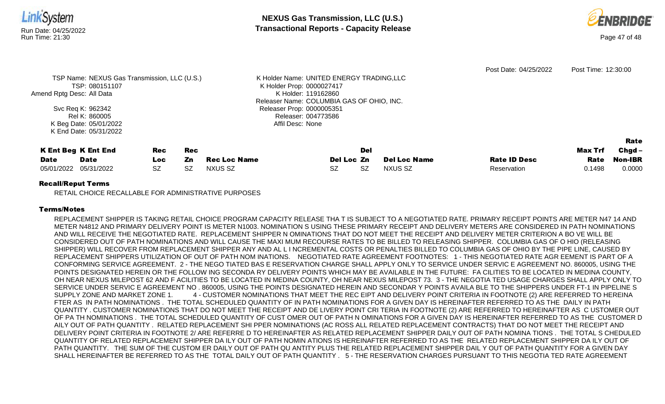



|                           |                                              |           |            |                     |                                           |     |                     | Post Date: 04/25/2022 | Post Time: 12:30:00 |                |
|---------------------------|----------------------------------------------|-----------|------------|---------------------|-------------------------------------------|-----|---------------------|-----------------------|---------------------|----------------|
|                           | TSP Name: NEXUS Gas Transmission, LLC (U.S.) |           |            |                     | K Holder Name: UNITED ENERGY TRADING, LLC |     |                     |                       |                     |                |
|                           | TSP: 080151107                               |           |            |                     | K Holder Prop: 0000027417                 |     |                     |                       |                     |                |
| Amend Rptg Desc: All Data |                                              |           |            |                     | K Holder: 119162860                       |     |                     |                       |                     |                |
|                           |                                              |           |            |                     | Releaser Name: COLUMBIA GAS OF OHIO, INC. |     |                     |                       |                     |                |
|                           | Svc Req K: 962342                            |           |            |                     | Releaser Prop: 0000005351                 |     |                     |                       |                     |                |
| Rel K: 860005             |                                              |           |            |                     | Releaser: 004773586                       |     |                     |                       |                     |                |
|                           | K Beg Date: 05/01/2022                       |           |            |                     | Affil Desc: None                          |     |                     |                       |                     |                |
|                           | K End Date: 05/31/2022                       |           |            |                     |                                           |     |                     |                       |                     |                |
|                           |                                              |           |            |                     |                                           |     |                     |                       |                     | Rate           |
|                           | <b>K Ent Beg K Ent End</b>                   | Rec       | <b>Rec</b> |                     |                                           | Del |                     |                       | Max Trf             | Chgd -         |
| <b>Date</b>               | <b>Date</b>                                  | Loc.      | Zn         | <b>Rec Loc Name</b> | Del Loc Zn                                |     | <b>Del Loc Name</b> | <b>Rate ID Desc</b>   | Rate                | <b>Non-IBR</b> |
| 05/01/2022                | 05/31/2022                                   | <b>SZ</b> | <b>SZ</b>  | NXUS SZ             | <b>SZ</b>                                 | SZ  | NXUS SZ             | Reservation           | 0.1498              | 0.0000         |
|                           |                                              |           |            |                     |                                           |     |                     |                       |                     |                |

RETAIL CHOICE RECALLABLE FOR ADMINISTRATIVE PURPOSES

# Terms/Notes